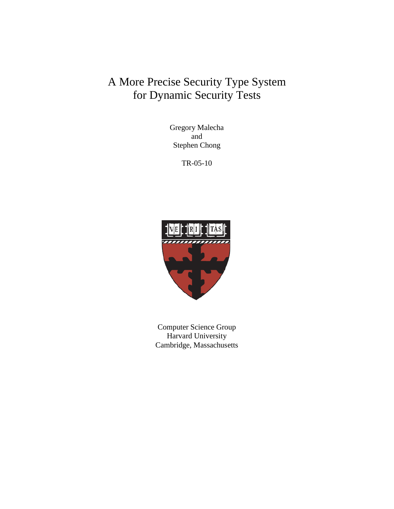# A More Precise Security Type System for Dynamic Security Tests

Gregory Malecha and Stephen Chong

TR-05-10



Computer Science Group Harvard University Cambridge, Massachusetts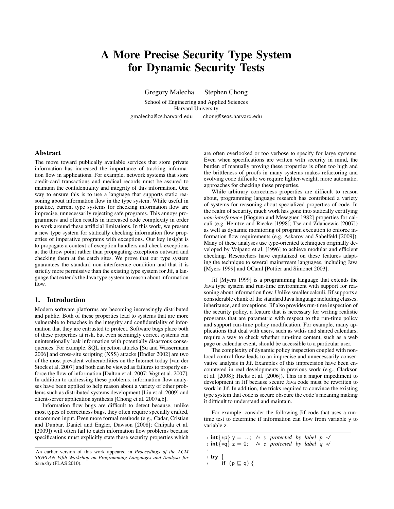## A More Precise Security Type System for Dynamic Security Tests

Gregory Malecha Stephen Chong

School of Engineering and Applied Sciences Harvard University gmalecha@cs.harvard.edu chong@seas.harvard.edu

## Abstract

The move toward publically available services that store private information has increased the importance of tracking information flow in applications. For example, network systems that store credit-card transactions and medical records must be assured to maintain the confidentiality and integrity of this information. One way to ensure this is to use a language that supports static reasoning about information flow in the type system. While useful in practice, current type systems for checking information flow are imprecise, unnecessarily rejecting safe programs. This annoys programmers and often results in increased code complexity in order to work around these artificial limitations. In this work, we present a new type system for statically checking information flow properties of imperative programs with exceptions. Our key insight is to propagate a context of exception handlers and check exceptions at the throw point rather than propagating exceptions outward and checking them at the catch sites. We prove that our type system guarantees the standard non-interference condition and that it is strictly more permissive than the existing type system for Jif, a language that extends the Java type system to reason about information flow.

## 1. Introduction

Modern software platforms are becoming increasingly distributed and public. Both of these properties lead to systems that are more vulnerable to breaches in the integrity and confidentiality of information that they are entrusted to protect. Software bugs place both of these properties at risk, but even seemingly correct systems can unintentionally leak information with potentially disastrous consequences. For example, SQL injection attacks [\[Su and Wassermann](#page-12-0) [2006\]](#page-12-0) and cross-site scripting (XSS) attacks [\[Endler 2002\]](#page-12-1) are two of the most prevalent vulnerabilities on the Internet today [\[van der](#page-12-2) [Stock et al. 2007\]](#page-12-2) and both can be viewed as failures to properly enforce the flow of information [\[Dalton et al. 2007;](#page-12-3) [Vogt et al. 2007\]](#page-12-4). In addition to addressing these problems, information flow analyses have been applied to help reason about a variety of other problems such as distributed systems development [\[Liu et al. 2009\]](#page-12-5) and client-server application synthesis [\[Chong et al. 2007a,](#page-12-6)[b\]](#page-12-7).

Information flow bugs are difficult to detect because, unlike most types of correctness bugs, they often require specially crafted, uncommon input. Even more formal methods (e.g., [Cadar, Cristian](#page-12-8) [and Dunbar, Daniel and Engler, Dawson](#page-12-8) [\[2008\]](#page-12-8); [Chlipala et al.](#page-12-9) [\[2009\]](#page-12-9)) will often fail to catch information flow problems because specifications must explicitly state these security properties which are often overlooked or too verbose to specify for large systems. Even when specifications are written with security in mind, the burden of manually proving these properties is often too high and the brittleness of proofs in many systems makes refactoring and evolving code difficult; we require lighter-weight, more automatic, approaches for checking these properties.

While arbitrary correctness properties are difficult to reason about, programming language research has contributed a variety of systems for reasoning about specialized properties of code. In the realm of security, much work has gone into statically certifying *non-interference* [\[Goguen and Meseguer 1982\]](#page-12-10) properties for calculi (e.g. [Heintze and Riecke](#page-12-11) [\[1998\]](#page-12-11); [Tse and Zdancewic](#page-12-12) [\[2007\]](#page-12-12)) as well as dynamic monitoring of program execution to enforce information flow requirements (e.g. [Askarov and Sabelfeld](#page-12-13) [\[2009\]](#page-12-13)). Many of these analyses use type-oriented techniques originally developed by [Volpano et al.](#page-12-14) [\[1996\]](#page-12-14) to achieve modular and efficient checking. Researchers have capitalized on these features adapting the technique to several mainstream languages, including Java [\[Myers 1999\]](#page-12-15) and OCaml [\[Pottier and Simonet 2003\]](#page-12-16).

Jif [\[Myers 1999\]](#page-12-15) is a programming language that extends the Java type system and run-time environment with support for reasoning about information flow. Unlike smaller calculi, Jif supports a considerable chunk of the standard Java language including classes, inheritance, and exceptions. Jif also provides run-time inspection of the security policy, a feature that is necessary for writing realistic programs that are parametric with respect to the run-time policy and support run-time policy modification. For example, many applications that deal with users, such as wikis and shared calendars, require a way to check whether run-time content, such as a web page or calendar event, should be accessible to a particular user.

The complexity of dynamic policy inspection coupled with nonlocal control flow leads to an imprecise and unnecessarily conservative analysis in Jif. Examples of this imprecision have been encountered in real developments in previous work (e.g., [Clarkson](#page-12-17) [et al.](#page-12-17) [\[2008\]](#page-12-17); [Hicks et al.](#page-12-18) [\[2006\]](#page-12-18)). This is a major impediment to development in Jif because secure Java code must be rewritten to work in Jif. In addition, the tricks required to convince the existing type system that code is secure obscure the code's meaning making it difficult to understand and maintain.

For example, consider the following Jif code that uses a runtime test to determine if information can flow from variable y to variable z.

```
1 int{∗p} y = ...; /∗ y protected by label p ∗/
2 int{∗q} z = 0; /∗ z protected by label q ∗/
3
4 try {
      if (p \sqsubseteq q) {
```
An earlier version of this work appeared in *Proceedings of the ACM SIGPLAN Fifth Workshop on Programming Languages and Analysis for Security* (PLAS 2010).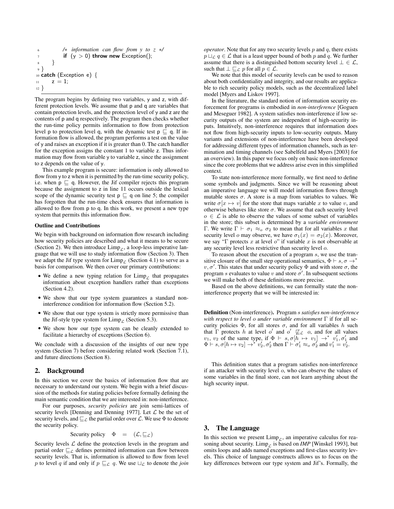```
6 /∗ information can flow from y to z ∗/
7 if (y > 0) throw new Exception();
 8 }
9 }
10 catch (Exception e) {
11 z = 1;
12 }
```
The program begins by defining two variables, y and z, with different protection levels. We assume that p and q are variables that contain protection levels, and the protection level of y and z are the contents of p and q respectively. The program then checks whether the run-time policy permits information to flow from protection level p to protection level q, with the dynamic test  $p \sqsubseteq q$ . If information flow is allowed, the program performs a test on the value of y and raises an exception if it is greater than 0. The catch handler for the exception assigns the constant 1 to variable z. Thus information may flow from variable y to variable z, since the assignment to z depends on the value of y.

This example program is secure: information is only allowed to flow from y to z when it is permitted by the run-time security policy, i.e. when  $p \sqsubseteq q$ . However, the Jif compiler rejects this program because the assignment to z in line 11 occurs outside the lexical scope of the dynamic security test  $p \sqsubseteq q$  on line 5; the compiler has forgotten that the run-time check ensures that information is allowed to flow from p to q. In this work, we present a new type system that permits this information flow.

#### Outline and Contributions

We begin with background on information flow research including how security policies are described and what it means to be secure (Section [2\)](#page-2-0). We then introduce  $\lim_{\rho \to 0} \rho$ , a loop-less imperative language that we will use to study information flow (Section [3\)](#page-2-1). Then we adapt the Jif type system for  $\lim_{\mathcal{L}}$  (Section [4.1\)](#page-3-0) to serve as a basis for comparison. We then cover our primary contributions:

- We define a new typing relation for  $\lim_{\varepsilon}$  that propagates information about exception handlers rather than exceptions (Section [4.2\)](#page-7-0).
- We show that our type system guarantees a standard noninterference condition for information flow (Section [5.2\)](#page-9-0).
- We show that our type system is strictly more permissive than the Jif-style type system for  $\lim_{\Gamma} P_{\Gamma}$  (Section [5.3\)](#page-9-1).
- We show how our type system can be cleanly extended to facilitate a hierarchy of exceptions (Section [6\)](#page-10-0).

We conclude with a discussion of the insights of our new type system (Section [7\)](#page-11-0) before considering related work (Section [7.1\)](#page-11-1), and future directions (Section [8\)](#page-11-2).

## <span id="page-2-0"></span>2. Background

In this section we cover the basics of information flow that are necessary to understand our system. We begin with a brief discussion of the methods for stating policies before formally defining the main semantic condition that we are interested in: non-interference.

For our purposes, *security policies* are join semi-lattices of security levels [\[Denning and Denning 1977\]](#page-12-19). Let  $\mathcal L$  be the set of security levels, and  $\sqsubseteq_{\mathcal{L}}$  the partial order over  $\mathcal{L}$ . We use  $\Phi$  to denote the security policy.

Security policy 
$$
\Phi = (\mathcal{L}, \sqsubseteq_{\mathcal{L}})
$$

Security levels  $\mathcal L$  define the protection levels in the program and partial order  $\sqsubseteq_{\mathcal{L}}$  defines permitted information can flow between security levels. That is, information is allowed to flow from level p to level q if and only if  $p \sqsubseteq_{\mathcal{L}} q$ . We use  $\sqcup_{\mathcal{L}}$  to denote the *join* 

*operator*. Note that for any two security levels  $p$  and  $q$ , there exists  $p \sqcup_{\mathcal{L}} q \in \mathcal{L}$  that is a least upper bound of both p and q. We further assume that there is a distinguished bottom security level  $\bot \in \mathcal{L}$ , such that  $\bot \sqsubseteq_{\mathcal{L}} p$  for all  $p \in \mathcal{L}$ .

We note that this model of security levels can be used to reason about both confidentiality and integrity, and our results are applicable to rich security policy models, such as the decentralized label model [\[Myers and Liskov 1997\]](#page-12-20).

In the literature, the standard notion of information security enforcement for programs is embodied in *non-interference* [\[Goguen](#page-12-10) [and Meseguer 1982\]](#page-12-10). A system satisfies non-interference if low security outputs of the system are independent of high-security inputs. Intuitively, non-interference requires that information does not flow from high-security inputs to low-security outputs. Many variants and extensions of non-interference have been developed for addressing different types of information channels, such as termination and timing channels (see [Sabelfeld and Myers](#page-12-21) [\[2003\]](#page-12-21) for an overview). In this paper we focus only on basic non-interference since the core problems that we address arise even in this simplified context.

To state non-interference more formally, we first need to define some symbols and judgments. Since we will be reasoning about an imperative language we will model information flows through mutable stores  $\sigma$ . A store is a map from variables to values. We write  $\sigma[x \mapsto v]$  for the store that maps variable x to value v, and otherwise behaves like store  $\sigma$ . We assume that each security level  $o \in \mathcal{L}$  is able to observe the values of some subset of variables in the store; this subset is determined by a *variable environment* Γ. We write  $\Gamma \vdash \sigma_1 \approx_o \sigma_2$  to mean that for all variables x that security level o may observe, we have  $\sigma_1(x) = \sigma_2(x)$ . Moreover, we say "Γ protects x at level o" if variable x is not observable at any security level less restrictive than security level o.

To reason about the execution of a program s, we use the transitive closure of the small step operational semantics,  $\Phi \vdash s, \sigma \rightarrow^*$  $v, \sigma'$ . This states that under security policy  $\Phi$  and with store  $\sigma$ , the program s evaluates to value v and store  $\sigma'$ . In subsequent sections we will make both of these definitions more precise.

Based on the above definitions, we can formally state the noninterference property that we will be interested in:

Definition (Non-interference). Program s *satisfies non-interference with respect to level* o *under variable environment* Γ if for all security policies  $\Phi$ , for all stores  $\sigma$ , and for all variables h such that  $\Gamma$  protects h at level o' and o'  $\mathbb{Z}_{\mathcal{L}}$  o, and for all values  $v_1, v_2$  of the same type, if  $\Phi \vdash s, \sigma[h \mapsto v_1] \rightarrow^* v'_1, \sigma'_1$  and  $\Phi \vdash s, \sigma [h \mapsto v_2] \rightarrow^* v_2', \sigma_2'$  then  $\Gamma \vdash \sigma_1' \approx_o \sigma_2'$  and  $v_1' = v_2'$ .

This definition states that a program satisfies non-interference if an attacker with security level o, who can observe the values of some variables in the final store, can not learn anything about the high security input.

## <span id="page-2-1"></span>3. The Language

In this section we present  $\lim_{\mathcal{L}}$ , an imperative calculus for reasoning about security. Limp<sub>c</sub> is based on *IMP* [\[Winskel 1993\]](#page-12-22), but omits loops and adds named exceptions and first-class security levels. This choice of language constructs allows us to focus on the key differences between our type system and Jif's. Formally, the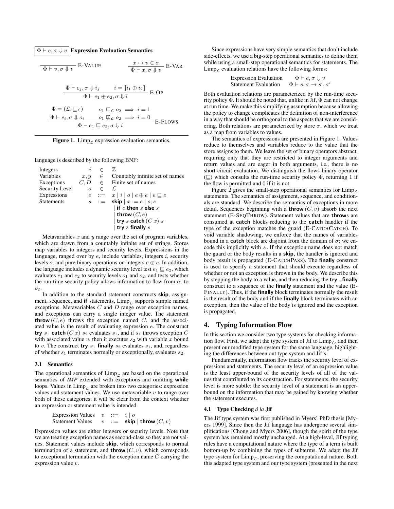$\Phi \vdash e, \sigma \Downarrow v$  Expression Evaluation Semantics

$$
\Phi \vdash v, \sigma \Downarrow v \quad \text{E-VALUE} \qquad \qquad \frac{x \mapsto v \in \sigma}{\Phi \vdash x, \sigma \Downarrow v} \quad \text{E-VAR}
$$
\n
$$
\frac{\Phi \vdash e_j, \sigma \Downarrow i_j \qquad i = [i_1 \oplus i_2]}{\Phi \vdash e_1 \oplus e_2, \sigma \Downarrow i} \quad \text{E-OP}
$$
\n
$$
\Phi = (\mathcal{L}, \sqsubseteq \mathcal{L}) \qquad o_1 \sqsubseteq \mathcal{L} o_2 \implies i = 1
$$
\n
$$
\frac{\Phi \vdash e_i, \sigma \Downarrow o_i \qquad o_1 \not\sqsubseteq \mathcal{L} o_2 \implies i = 0}{\Phi \vdash e_1 \sqsubseteq e_2, \sigma \Downarrow i} \quad \text{E-Flows}
$$

<span id="page-3-1"></span>Figure 1. Limp<sub>c</sub> expression evaluation semantics.

language is described by the following BNF:

| Integers          | $\dot{i}$  | $\subset$ | 77,                                              |
|-------------------|------------|-----------|--------------------------------------------------|
| Variables         | $x, y \in$ |           | Countably infinite set of names                  |
| Exceptions        |            |           | $C, D \in$ Finite set of names                   |
| Security Level    | $\Omega$   | $\in$     | L.                                               |
| Expressions       |            |           | $e ::= x   i   o   e \oplus e   e \sqsubseteq e$ |
| <b>Statements</b> |            |           | $s$ ::= skip $x := e \mid s; s$                  |
|                   |            |           | $\vert$ if $e$ then $s$ else $s$                 |
|                   |            |           | throw $(C, e)$                                   |
|                   |            |           | try s catch $(Cx)$ s                             |
|                   |            |           | try $s$ finally $s$                              |

Metavariables  $x$  and  $y$  range over the set of program variables, which are drawn from a countably infinite set of strings. Stores map variables to integers and security levels. Expressions in the language, ranged over by  $e$ , include variables, integers  $i$ , security levels *o*, and pure binary operations on integers  $e \oplus e$ . In addition, the language includes a dynamic security level test  $e_1 \sqsubseteq e_2$ , which evaluates  $e_1$  and  $e_2$  to security levels  $o_1$  and  $o_2$ , and tests whether the run-time security policy allows information to flow from  $o_1$  to 02.

In addition to the standard statement constructs skip, assignment, sequence, and if statements,  $\lim_{\varepsilon}$  supports simple named exceptions. Metavariables  $C$  and  $D$  range over exception names, and exceptions can carry a single integer value. The statement **throw**  $(C, e)$  throws the exception named C, and the associated value is the result of evaluating expression e. The construct try  $s_1$  catch  $(Cx)$   $s_2$  evaluates  $s_1$ , and if  $s_1$  throws exception  $C$ with associated value  $v$ , then it executes  $s_2$  with variable  $x$  bound to v. The construct **try**  $s_1$  finally  $s_2$  evaluates  $s_1$ , and, regardless of whether  $s_1$  terminates normally or exceptionally, evaluates  $s_2$ .

## 3.1 Semantics

The operational semantics of  $\lim_{\mathcal{L}}$  are based on the operational semantics of *IMP* extended with exceptions and omitting while loops. Values in  $\lim_{\rho \to 0}$  are broken into two categories: expression values and statement values. We use metavariable  $v$  to range over both of these categories; it will be clear from the context whether an expression or statement value is intended.

| Expression Values | $v$ | ::= | $i \mid o$  |              |          |
|-------------------|-----|-----|-------------|--------------|----------|
| Statement Values  | $v$ | ::= | <b>skip</b> | <b>throw</b> | $(C, v)$ |

Expression values are either integers or security levels. Note that we are treating exception names as second-class so they are not values. Statement values include skip, which corresponds to normal termination of a statement, and **throw**  $(C, v)$ , which corresponds to exceptional termination with the exception name  $C$  carrying the expression value v.

Since expressions have very simple semantics that don't include side-effects, we use a big-step operational semantics to define them while using a small-step operational semantics for statements. The  $\lim_{\Gamma}$  evaluation relations have the following forms:

> Expression Evaluation  $\Phi \vdash e, \sigma \Downarrow v$ Statement Evaluation  $',\sigma'$

Both evaluation relations are parameterized by the run-time security policy  $\Phi$ . It should be noted that, unlike in Jif,  $\Phi$  can not change at run time. We make this simplifying assumption because allowing the policy to change complicates the definition of non-interference in a way that should be orthogonal to the aspects that we are considering. Both relations are parameterized by store  $\sigma$ , which we treat as a map from variables to values.

The semantics of expressions are presented in Figure [1.](#page-3-1) Values reduce to themselves and variables reduce to the value that the store assigns to them. We leave the set of binary operators abstract, requiring only that they are restricted to integer arguments and return values and are eager in both arguments, i.e., there is no short-circuit evaluation. We distinguish the flows binary operator  $(\sqsubseteq)$  which consults the run-time security policy  $\Phi$ , returning 1 if the flow is permitted and 0 if it is not.

Figure [2](#page-4-0) gives the small-step operational semantics for  $\lim_{\Delta} P$ statements. The semantics of assignment, sequence, and conditionals are standard. We describe the semantics of exceptions in more detail. Sequences beginning with a **throw**  $(C, v)$  absorb the next statement (E-SEQTHROW). Statement values that are throws are consumed at catch blocks reducing to the catch handler if the type of the exception matches the guard (E-CATCHCATCH). To void variable shadowing, we enforce that the names of variables bound in a **catch** block are disjoint from the domain of  $\sigma$ ; we encode this implicitly with  $\biguplus$ . If the exception name does not match the guard or the body results in a skip, the handler is ignored and body result is propagated (E-CATCHPASS). The finally construct is used to specify a statement that should execute regardless of whether or not an exception is thrown in the body. We describe this by stepping the body to a value, and then reducing the try...finally construct to a sequence of the finally statement and the value (E-FINALLY). Thus, if the finally block terminates normally the result is the result of the body and if the finally block terminates with an exception, then the value of the body is ignored and the exception is propagated.

## 4. Typing Information Flow

In this section we consider two type systems for checking information flow. First, we adapt the type system of Jif to  $\lim_{\varepsilon}$ , and then present our modified type system for the same language, highlighting the differences between out type system and Jif's.

Fundamentally, information flow tracks the security level of expressions and statements. The security level of an expression value is the least upper-bound of the security levels of all of the values that contributed to its construction. For statements, the security level is more subtle: the security level of a statement is an upperbound on the information that may be gained by knowing whether the statement executes.

### <span id="page-3-0"></span>4.1 Type Checking *á la* Jif

The Jif type system was first published in Myers' PhD thesis [\[My](#page-12-15)[ers 1999\]](#page-12-15). Since then the Jif language has undergone several simplifications [\[Chong and Myers 2006\]](#page-12-23), though the spirit of the type system has remained mostly unchanged. At a high-level, Jif typing rules have a computational nature where the type of a term is built bottom-up by combining the types of subterms. We adapt the Jif type system for  $\lim_{\mathcal{L}}$ , preserving the computational nature. Both this adapted type system and our type system (presented in the next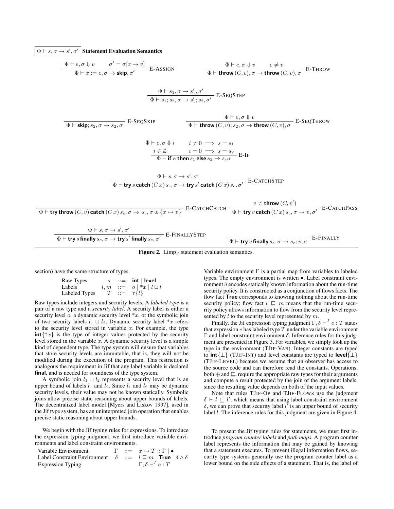$\Phi \vdash s, \sigma \to s', \sigma'$  Statement Evaluation Semantics

$$
\frac{\Phi \vdash e, \sigma \Downarrow v \qquad \sigma' = \sigma[x \rightarrow v]}{\Phi \vdash x := e, \sigma \rightarrow \text{skip}, \sigma'} \quad \text{E-ASSIGN} \qquad \frac{\Phi \vdash e, \sigma \Downarrow v \qquad e \neq v}{\Phi \vdash \text{throw}(C, e), \sigma \rightarrow \text{throw}(C, v), \sigma} \quad \text{E-THEOW} \quad \frac{\Phi \vdash s_1, \sigma' \qquad \Phi \vdash s_1, s_2, \sigma'}{\Phi \vdash s_1, s_2, \sigma \rightarrow s'_1, s_2, \sigma'} \quad \text{E-SEQSTEP} \quad \frac{\Phi \vdash e, \sigma \Downarrow v}{\Phi \vdash \text{throw}(C, v), s_2, \sigma \rightarrow \text{throw}(C, v), \sigma} \quad \text{E-SEQTHEOW} \quad \frac{\Phi \vdash e, \sigma \Downarrow v}{\Phi \vdash \text{throw}(C, v), s_2, \sigma \rightarrow \text{throw}(C, v), \sigma} \quad \text{E-SEQTHEOW} \quad \frac{\Phi \vdash e, \sigma \Downarrow v}{\Phi \vdash \text{if } e \text{ then } s_1 \text{ else } s_2 \rightarrow s, \sigma} \quad \text{E-IF} \quad \frac{\vdash s \rightarrow s \rightarrow s'}{\Phi \vdash \text{if } e \text{ then } s_1 \text{ else } s_2 \rightarrow s, \sigma} \quad \text{E-IF} \quad \frac{\Phi \vdash s, \sigma \rightarrow s', \sigma'}{\Phi \vdash \text{try } s \text{ catch}(Cx) s_c, \sigma \rightarrow \text{try } s' \text{ catch}(Cx) s_c, \sigma'} \quad \text{E-CATCHSTEP} \quad \frac{v \neq \text{throw}(C, v')}{\Phi \vdash \text{try } v \text{ catch}(Cx) s_c, \sigma \rightarrow s, \sigma} \quad \frac{\Phi \vdash s, \sigma \rightarrow s', \sigma'}{\Phi \vdash \text{try } s \text{ finally } s_c, \sigma \rightarrow \text{try } s' \text{ finally } s_c, \sigma'} \quad \text{E-FINALLY} \quad \frac{\Phi \vdash \text{try } v \text{ finally } s_c, \sigma \rightarrow s_c, v, \sigma} \quad \text{E-FINALLY} \quad \frac{\Phi \vdash s, \sigma \rightarrow s', \sigma'}{\Phi \vdash \text{try } s \text{ finally } s_c, \sigma \rightarrow \text{try } s' \text{ finally } s_c, \sigma'} \quad \frac{\
$$

<span id="page-4-0"></span>Figure 2. Limp<sub> $\epsilon$ </sub> statement evaluation semantics.

section) have the same structure of types.

| Raw Types     |  | $\tau$ ::= int   level         |
|---------------|--|--------------------------------|
| Labels        |  | $l, m ::= o   *x   l \sqcup l$ |
| Labeled Types |  | $T \quad ::= \quad \tau \{l\}$ |

Raw types include integers and security levels. A *labeled type* is a pair of a raw type and a *security label*. A security label is either a security level  $o$ , a dynamic security level  $*x$ , or the symbolic join of two security labels  $l_1 \sqcup l_2$ . Dynamic security label \*x refers to the security level stored in variable  $x$ . For example, the type  $int\{x\}$  is the type of integer values protected by the security level stored in the variable  $x$ . A dynamic security level is a simple kind of dependent type. The type system will ensure that variables that store security levels are immutable, that is, they will not be modified during the execution of the program. This restriction is analogous the requirement in Jif that any label variable is declared final, and is needed for soundness of the type system.

A symbolic join  $l_1 \sqcup l_2$  represents a security level that is an upper bound of labels  $l_1$  and  $l_2$ . Since  $l_1$  and  $l_2$  may be dynamic security levels, their value may not be known statically. Symbolic joins allow precise static reasoning about upper bounds of labels. The decentralized label model [\[Myers and Liskov 1997\]](#page-12-20), used in the Jif type system, has an uninterpreted join operation that enables precise static reasoning about upper bounds.

We begin with the Jif typing rules for expressions. To introduce the expression typing judgment, we first introduce variable environments and label constraint environments.

| Variable Environment                                                                     |  | $\Gamma \quad ::= \quad x \mapsto T :: \Gamma \mid \bullet$ |
|------------------------------------------------------------------------------------------|--|-------------------------------------------------------------|
| Label Constraint Environment $\delta ::= l \sqsubseteq m  $ True $ \delta \wedge \delta$ |  |                                                             |
| <b>Expression Typing</b>                                                                 |  | $\Gamma, \delta \vdash^f e : T$                             |

Variable environment  $\Gamma$  is a partial map from variables to labeled types. The empty environment is written •. Label constraint environment  $\delta$  encodes statically known information about the run-time security policy. It is constructed as a conjunction of flows facts. The flow fact True corresponds to knowing nothing about the run-time security policy; flow fact  $l \sqsubseteq m$  means that the run-time security policy allows information to flow from the security level represented by  $l$  to the security level represented by  $m$ .

Finally, the Jif expression typing judgment  $\Gamma, \delta \vdash^J e : T$  states that expression  $e$  has labeled type  $T$  under the variable environment Γ and label constraint environment δ. Inference rules for this judgment are presented in Figure [3.](#page-5-0) For variables, we simply look up the type in the environment (TJIF-VAR). Integer constants are typed to  $int\{\perp\}$  (TJIF-INT) and level constants are typed to level $\{\perp\}$ (TJIF-LEVEL) because we assume that an observer has access to the source code and can therefore read the constants. Operations, both  $\oplus$  and  $\sqsubseteq$ , require the appropriate raw types for their arguments and compute a result protected by the join of the argument labels, since the resulting value depends on both of the input values.

Note that rules TJIF-OP and TJIF-FLOWS use the judgment  $\delta \vdash l \sqsubseteq l'$ , which means that using label constraint environment  $\delta$ , we can prove that security label  $l^{\dagger}$  is an upper bound of security label *l*. The inference rules for this judgment are given in Figure [4.](#page-5-1)

To present the Jif typing rules for statements, we must first introduce *program counter labels* and *path maps*. A program counter label represents the information that may be gained by knowing that a statement executes. To prevent illegal information flows, security type systems generally use the program counter label as a lower bound on the side effects of a statement. That is, the label of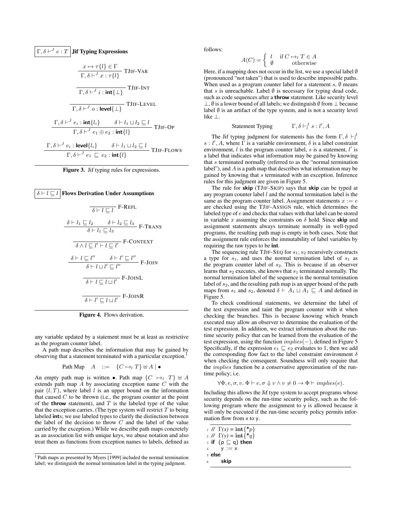$$
\boxed{\Gamma, \delta \vdash^{J} e : T \text{ Jif Typing Expressions}}
$$
\n
$$
\frac{x \mapsto \tau\{l\} \in \Gamma}{\Gamma, \delta \vdash^{J} x : \tau\{l\}}
$$
\nTJIF-VAR\n
$$
\frac{}{\Gamma, \delta \vdash^{J} i : \text{int}\{\bot\}}
$$
\nTJIF-INT\n
$$
\frac{}{\Gamma, \delta \vdash^{J} o : \text{level}\{\bot\}}
$$
\nTJIF-LEVEL\n
$$
\frac{\Gamma, \delta \vdash^{J} e_{i} : \text{int}\{l_{i}\}}{\Gamma, \delta \vdash^{J} e_{i} : \text{int}\{l_{i}\}} \qquad \delta \vdash l_{1} \sqcup l_{2} \sqsubseteq l}{\Gamma, \delta \vdash^{J} e_{i} : \text{level}\{l_{i}\}}
$$
\nTJIF-OP\n
$$
\frac{\Gamma, \delta \vdash^{J} e_{i} : \text{level}\{l_{i}\}}{\Gamma, \delta \vdash^{J} e_{1} \sqsubseteq e_{2} : \text{int}\{l\}}
$$
\nTJIF-Flows

<span id="page-5-0"></span>



<span id="page-5-1"></span>Figure 4. Flows derivation.

any variable updated by a statement must be at least as restrictive as the program counter label.

A path map describes the information that may be gained by observing that a statement terminated with a particular exception.[1](#page-5-2)

Path Map 
$$
A ::= \{C \mapsto_l T\} \uplus A \mid \bullet
$$

An empty path map is written •. Path map  $\{C \mapsto_l T\} \uplus A$ extends path map A by associating exception name C with the pair  $(l, T)$ , where label l is an upper bound on the information that caused  $C$  to be thrown (i.e., the program counter at the point of the **throw** statement), and  $T$  is the labeled type of the value that the exception carries. (The type system will restrict  $T$  to being labeled ints; we use labeled types to clarify the distinction between the label of the decision to throw  $C$  and the label of the value carried by the exception.) While we describe path maps concretely as an association list with unique keys, we abuse notation and also treat them as functions from exception names to labels, defined as

follows:

$$
A(C) = \begin{cases} l & \text{if } C \mapsto_l T \in A \\ \emptyset & \text{otherwise} \end{cases}
$$

Here, if a mapping does not occur in the list, we use a special label  $\emptyset$ (pronounced "not taken") that is used to describe impossible paths. When used as a program counter label for a statement  $s$ ,  $\emptyset$  means that s is unreachable. Label  $\emptyset$  is necessary for typing dead code, such as code sequences after a throw statement. Like security level ⊥,  $\emptyset$  is a lower bound of all labels; we distinguish  $\emptyset$  from ⊥ because label  $\emptyset$  is an artifact of the type system, and is not a security level like ⊥.

> Statement Typing  $l^J s:l', A$

The Jif typing judgment for statements has the form  $\Gamma, \delta \vdash_l^J$  $s: l', A$ , where  $\overline{\Gamma}$  is a variable environment,  $\delta$  is a label constraint environment,  $l$  is the program counter label,  $s$  is a statement,  $l'$  is a label that indicates what information may be gained by knowing that s terminated normally (referred to as the "normal termination label"), and A is a path map that describes what information may be gained by knowing that s terminated with an exception. Inference rules for this judgment are given in Figure [5.](#page-6-0)

The rule for skip (TJIF-SKIP) says that skip can be typed at any program counter label  $l$  and the normal termination label is the same as the program counter label. Assignment statements  $x := e$ are checked using the TJIF-ASSIGN rule, which determines the labeled type of e and checks that values with that label can be stored in variable x assuming the constraints on  $\delta$  hold. Since skip and assignment statements always terminate normally in well-typed programs, the resulting path map is empty in both cases. Note that the assignment rule enforces the immutability of label variables by requiring the raw types to be int.

The sequencing rule TJIF-SEQ for  $s_1$ ;  $s_2$  recursively constructs a type for  $s_1$ , and uses the normal termination label of  $s_1$  as the program counter label of  $s_2$ . This is because if an observer learns that  $s_2$  executes, she knows that  $s_1$  terminated normally. The normal termination label of the sequence is the normal termination label of  $s_2$ , and the resulting path map is an upper bound of the path maps from  $s_1$  and  $s_2$ , denoted  $\delta \vdash A_1 \sqcup A_1 \sqsubseteq A$  and defined in Figure [5.](#page-6-0)

To check conditional statements, we determine the label of the test expression and taint the program counter with it when checking the branches. This is because knowing which branch executed may allow an observer to determine the evaluation of the test expression. In addition, we extract information about the runtime security policy that can be learned from the evaluation of the test expression, using the function  $implies(-)$ , defined in Figure [5](#page-6-0) Specifically, if the expression  $e_1 \sqsubset e_2$  evaluates to 1, then we add the corresponding flow fact to the label constraint environment  $\delta$ when checking the consequent. Soundness will only require that the implies function be a conservative approximation of the runtime policy; i.e.

$$
\forall \Phi, e, \sigma, v. \ \Phi \vdash e, \sigma \Downarrow v \land v \neq 0 \rightarrow \Phi \vdash implies(e).
$$

Including this allows the Jif type system to accept programs whose security depends on the run-time security policy, such as the following program where the assignment to y is allowed because it will only be executed if the run-time security policy permits information flow from x to y.

```
1 // \Gamma(x) = \text{int}\{\ast p\}
```
- 2 //  $\Gamma(y) = \text{int}\{\ast q\}$
- $_3$  if  $(p \sqsubseteq q)$  then
- $y := x$

$$
5 \text{ else}
$$

skip

<span id="page-5-2"></span><sup>1</sup> Path maps as presented by [Myers](#page-12-15) [\[1999\]](#page-12-15) included the normal termination label; we distinguish the normal termination label in the typing judgment.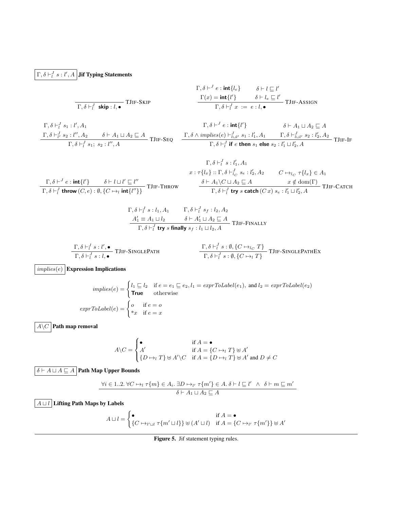## $\Gamma, \delta \vdash^J_l s : l', A \, \big| \, \textbf{Jif }\textbf{Typing \, Statements}$

$$
\Gamma, \delta \vdash^{J} e : \text{int}\{\ell_{e}\} \qquad \delta \vdash l \sqsubseteq l'
$$
\n
$$
\Gamma, \delta \vdash^{J}_{l} \text{skip}: l, \bullet
$$
\n
$$
\Gamma, \delta \vdash^{J}_{l} \text{skip}: l, \bullet
$$
\n
$$
\Gamma, \delta \vdash^{J}_{l} x := e : l, \bullet
$$
\n
$$
\Gamma, \delta \vdash^{J}_{l} x := e : l, \bullet
$$
\n
$$
\Gamma, \delta \vdash^{J}_{l} x := e : l, \bullet
$$

$$
\Gamma, \delta \vdash_l^J s_1 : l', A_1 \qquad \qquad \Gamma,
$$
\n
$$
\frac{\Gamma, \delta \vdash_l^J s_2 : l'', A_2 \qquad \delta \vdash A_1 \sqcup A_2 \sqsubseteq A}{\Gamma, \delta \vdash_l^J s_1; s_2 : l'', A} \text{TIIF-SEQ} \qquad \frac{\Gamma, \delta \wedge im_l}{\Gamma, \delta \vdash_l^J s_1; s_2 : l'', A}
$$

$$
\Gamma, \delta \vdash^{J} e : \text{int}\{l'\} \qquad \delta \vdash A_{1} \sqcup A_{2} \sqsubseteq A
$$
\n
$$
\frac{\Gamma, \delta \land \text{implies}(e) \vdash^{J}_{l \sqcup l'} s_{1} : l'_{1}, A_{1} \qquad \Gamma, \delta \vdash^{J}_{l \sqcup l'} s_{2} : l'_{2}, A_{2}}{\Gamma, \delta \vdash^{J}_{l} \text{ if } e \text{ then } s_{1} \text{ else } s_{2} : l'_{1} \sqcup l'_{2}, A} \text{TIIF-IF}
$$

$$
\Gamma, \delta \vdash^{J}_{l} s : l'_{1}, A_{1}
$$
\n
$$
x : \tau \{l_{x}\} :: \Gamma, \delta \vdash^{J}_{l_{C}} s_{e} : l'_{2}, A_{2} \qquad C \mapsto_{l_{C}} \tau \{l_{x}\} \in A_{1}
$$
\n
$$
\Gamma, \delta \vdash^{J}_{l} \text{throw}(C, e) : \emptyset, \{C \mapsto_{l} \text{int}\{l''\}\} \text{TIIF-THEOW}
$$
\n
$$
\frac{\delta \vdash A_{1} \setminus C \sqcup A_{2} \sqsubseteq A \qquad x \notin \text{dom}(\Gamma)}{\Gamma, \delta \vdash^{J}_{l} \text{try } s \text{ catch } (C x) s_{e} : l'_{1} \sqcup l'_{2}, A} \text{TIIF-CATCH}
$$

$$
\Gamma, \delta \vdash_l^J s : l_1, A_1 \qquad \Gamma, \delta \vdash_l^J s_f : l_2, A_2
$$
\n
$$
\begin{array}{c}\nA'_1 \equiv A_1 \sqcup l_2 \qquad \delta \vdash A'_1 \sqcup A_2 \sqsubseteq A \\
\hline\n\Gamma, \delta \vdash_l^J \text{try } s \text{ finally } s_f : l_1 \sqcup l_2, A\n\end{array}\n\text{TIIF-FINALY}
$$

$$
\frac{\Gamma, \delta \vdash_l^J s : l', \bullet}{\Gamma, \delta \vdash_l^J s : l, \bullet} \text{TIIF-SINGLEPATH} \qquad \qquad \frac{\Gamma, \delta \vdash_l^J s : \emptyset, \{C \mapsto_{l_C} T\}}{\Gamma, \delta \vdash_l^J s : \emptyset, \{C \mapsto_{l} T\}} \text{TIIF-SINGLEPATHEx}
$$

 $\overline{implies(e)}$  Expression Implications

$$
implies(e) = \begin{cases} l_1 \sqsubseteq l_2 & \text{if } e = e_1 \sqsubseteq e_2, l_1 = \text{exprToLabel}(e_1), \text{ and } l_2 = \text{exprToLabel}(e_2) \\ \text{True} & \text{otherwise} \end{cases}
$$
\n
$$
exprToLabel(e) = \begin{cases} o & \text{if } e = o \\ *x & \text{if } e = x \end{cases}
$$

 $\overline{A\backslash C}$  Path map removal

$$
A \setminus C = \begin{cases} \bullet & \text{if } A = \bullet \\ A' & \text{if } A = \{C \mapsto_l T\} \uplus A' \\ \{D \mapsto_l T\} \uplus A' \setminus C & \text{if } A = \{D \mapsto_l T\} \uplus A' \text{ and } D \neq C \end{cases}
$$

 $\boxed{\delta \vdash A \sqcup A \sqsubseteq A}$ Path Map Upper Bounds

$$
\frac{\forall i \in 1..2. \ \forall C \mapsto_l \tau\{m\} \in A_i. \ \exists D \mapsto_{l'} \tau\{m'\} \in A. \ \delta \vdash l \sqsubseteq l' \ \land \ \delta \vdash m \sqsubseteq m'}{\delta \vdash A_1 \sqcup A_2 \sqsubseteq A}
$$

 $\boxed{A \sqcup l}$  Lifting Path Maps by Labels

$$
A \sqcup l = \begin{cases} \bullet & \text{if } A = \bullet \\ \{C \mapsto_{l' \sqcup l} \tau\{m' \sqcup l\}\} \uplus (A' \sqcup l) & \text{if } A = \{C \mapsto_{l'} \tau\{m'\}\} \uplus A' \end{cases}
$$

<span id="page-6-0"></span>Figure 5. Jif statement typing rules.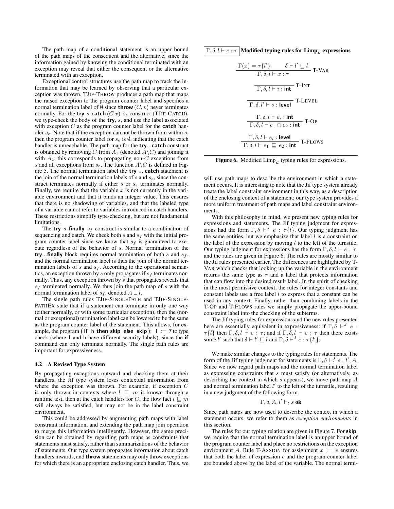The path map of a conditional statement is an upper bound of the path maps of the consequent and the alternative, since the information gained by knowing the conditional terminated with an exception may reveal that either the consequent or the alternative terminated with an exception.

Exceptional control structures use the path map to track the information that may be learned by observing that a particular exception was thrown. TJIF-THROW produces a path map that maps the raised exception to the program counter label and specifies a normal termination label of  $\emptyset$  since **throw**  $(C, v)$  never terminates normally. For the try s catch  $(Cx)$  s<sub>e</sub> construct (TJIF-CATCH), we type-check the body of the try, s, and use the label associated with exception  $C$  as the program counter label for the **catch** handler  $s_e$ . Note that if the exception can not be thrown from within s, then the program counter label for  $s_e$  is  $\emptyset$ , indicating that the catch handler is unreachable. The path map for the try...catch construct is obtained by removing C from  $A_1$  (denoted  $A\backslash C$ ) and joining it with  $A_2$ ; this corresponds to propagating non- $C$  exceptions from s and all exceptions from  $s_e$ . The function  $A \backslash C$  is defined in Figure [5.](#page-6-0) The normal termination label the try ... catch statement is the join of the normal termination labels of  $s$  and  $s_e$ , since the construct terminates normally if either  $s$  or  $s_e$  terminates normally. Finally, we require that the variable  $x$  is not currently in the variable environment and that it binds an integer value. This ensures that there is no shadowing of variables, and that the labeled type of a variable cannot refer to variables introduced in catch handlers. These restrictions simplify type-checking, but are not fundamental limitations.

The try s finally  $s_f$  construct is similar to a combination of sequencing and catch. We check both s and  $s_f$  with the initial program counter label since we know that  $s_f$  is guaranteed to execute regardless of the behavior of s. Normal termination of the try...finally block requires normal termination of both  $s$  and  $s_f$ , and the normal termination label is thus the join of the normal termination labels of  $s$  and  $s_f$ . According to the operational semantics, an exception thrown by s only propagates if  $s_f$  terminates normally. Thus, any exception thrown by s that propagates reveals that  $s_f$  terminated normally. We thus join the path map of s with the normal termination label of  $s_f$ , denoted  $A \sqcup l$ .

The single path rules TJIF-SINGLEPATH and TJIF-SINGLE-PATHEX state that if a statement can terminate in only one way (either normally, or with some particular exception), then the (normal or exceptional) termination label can be lowered to be the same as the program counter label of the statement. This allows, for example, the program (if h then skip else skip);  $\vert$  := 7 to type check (where l and h have different security labels), since the if command can only terminate normally. The single path rules are important for expressiveness.

## <span id="page-7-0"></span>4.2 A Revised Type System

By propagating exceptions outward and checking them at their handlers, the Jif type system loses contextual information from where the exception was thrown. For example, if exception C is only thrown in contexts where  $l \sqsubseteq m$  is known through a runtime test, then at the catch handlers for C, the flow fact  $l \sqsubseteq m$ will always be satisfied, but may not be in the label constraint environment.

This could be addressed by augmenting path maps with label constraint information, and extending the path map join operation to merge this information intelligently. However, the same precision can be obtained by regarding path maps as constraints that statements must satisfy, rather than summarizations of the behavior of statements. Our type system propagates information about catch handlers inwards, and throw statements may only throw exceptions for which there is an appropriate enclosing catch handler. Thus, we  $\Gamma, \delta, l \vdash e : \tau$  Modified typing rules for Limp<sub>c</sub> expressions

$$
\frac{\Gamma(x) = \tau\{l'\}}{\Gamma, \delta, l \vdash x : \tau}
$$
 T-VAR  
\n
$$
\frac{\overline{\Gamma, \delta, l \vdash i : \text{int}}}{\Gamma, \delta, l \vdash i : \text{int}}
$$
 T-INT  
\n
$$
\frac{\Gamma, \delta, l \vdash e_i : \text{int}}{\Gamma, \delta, l \vdash e_1 \oplus e_2 : \text{int}}
$$
 T-OP  
\n
$$
\frac{\Gamma, \delta, l \vdash e_i : \text{level}}{\Gamma, \delta, l \vdash e_1 \sqsubseteq e_2 : \text{int}}
$$
 T-Flows

<span id="page-7-1"></span>Figure 6. Modified Limp<sub>c</sub> typing rules for expressions.

will use path maps to describe the environment in which a statement occurs. It is interesting to note that the Jif type system already treats the label constraint environment in this way, as a description of the enclosing context of a statement; our type system provides a more uniform treatment of path maps and label constraint environments.

With this philosophy in mind, we present new typing rules for expressions and statements. The Jif typing judgment for expressions had the form  $\Gamma, \delta \vdash^J e : \tau \{l\}$ . Our typing judgment has the same entities, but we emphasize that label  $l$  is a constraint on the label of the expression by moving  $l$  to the left of the turnstile. Our typing judgment for expressions has the form  $\Gamma$ ,  $\delta$ ,  $l \vdash e : \tau$ , and the rules are given in Figure [6.](#page-7-1) The rules are mostly similar to the Jif rules presented earlier. The differences are highlighted by T-VAR which checks that looking up the variable in the environment returns the same type as  $\tau$  and a label that protects information that can flow into the desired result label. In the spirit of checking in the most permissive context, the rules for integer constants and constant labels use a free label  $l$  to express that a constant can be used in any context. Finally, rather than combining labels in the T-OP and T-FLOWS rules we simply propagate the upper-bound constraint label into the checking of the subterms.

The Jif typing rules for expressions and the new rules presented here are essentially equivalent in expressiveness: if  $\Gamma$ ,  $\overline{\delta}$   $\vdash^{J}$  e :  $\tau\{l\}$  then  $\Gamma, \delta, l \vdash e : \tau$ ; and if  $\Gamma, \delta, l \vdash e : \tau$  then there exists some l' such that  $\delta \vdash l' \sqsubseteq l$  and  $\Gamma, \delta \vdash^J e : \tau \{l'\}.$ 

We make similar changes to the typing rules for statements. The form of the Jif typing judgment for statements is  $\Gamma$ ,  $\delta \vdash_l^J s : l', A$ . Since we now regard path maps and the normal termination label as expressing constraints that s must satisfy (or alternatively, as describing the context in which s appears), we move path map  $A$ and normal termination label  $l'$  to the left of the turnstile, resulting in a new judgment of the following form.

$$
\Gamma, \delta, A, l' \vdash_l s \textbf{ ok}
$$

Since path maps are now used to describe the context in which a statement occurs, we refer to them as *exception environments* in this section.

The rules for our typing relation are given in Figure [7.](#page-8-0) For skip, we require that the normal termination label is an upper bound of the program counter label and place no restrictions on the exception environment A. Rule T-ASSIGN for assignment  $x := e$  ensures that both the label of expression  $e$  and the program counter label are bounded above by the label of the variable. The normal termi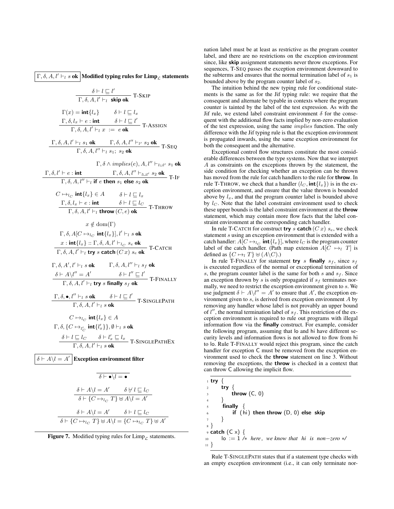$\Gamma$ ,  $\delta$ ,  $A$ ,  $l' \vdash_l s$  ok Modified typing rules for Limp<sub>c</sub> statements

$$
\frac{\delta \vdash l \sqsubseteq l'}{\Gamma, \delta, A, l' \vdash_l \text{ skip ok}} \text{ T-SKIP}
$$
\n
$$
\Gamma(x) = \text{int}\{l_x\} \qquad \delta \vdash l \sqsubseteq l_x
$$
\n
$$
\frac{\Gamma, \delta, l_x \vdash e : \text{int}}{\Gamma, \delta, A, l' \vdash_l x := e \text{ ok}} \text{ T-ASSIGN}
$$
\n
$$
\frac{\Gamma, \delta, A, l' \vdash_l s_1 \text{ ok}}{\Gamma, \delta, A, l'' \vdash_l s_1; s_2 \text{ ok}} \text{ T-SESQ}
$$
\n
$$
\frac{\Gamma, \delta, A, l' \vdash_l s_1 \text{ ok}}{\Gamma, \delta, A, l'' \vdash_l s_1; s_2 \text{ ok}} \text{ T-SEQ}
$$
\n
$$
\frac{\Gamma, \delta, l' \vdash e : \text{int}}{\Gamma, \delta, A, l'' \vdash_l t_1; s_2 \text{ ok}} \text{ T-IF}
$$
\n
$$
\frac{\Gamma, \delta, l' \vdash l}{\Gamma, \delta, A, l'' \vdash_l t_1; s_2 \text{ ok}} \text{ T-IF}
$$
\n
$$
C \mapsto l_C \text{ int}\{l_x\} \in A \qquad \delta \vdash l \sqsubseteq l_x
$$
\n
$$
\frac{\Gamma, \delta, l_x \vdash e : \text{int}}{\Gamma, \delta, A, l' \vdash_l \text{ throw } (C, e) \text{ ok}} \text{ T-THROW}
$$
\n
$$
x \notin \text{dom}(\Gamma)
$$
\n
$$
\Gamma, \delta, A[C \mapsto l_C \text{ int}\{l_x\}], l' \vdash_l s \text{ ok}
$$
\n
$$
x : \text{int}\{l_x\} :: \Gamma, \delta, A, l' \vdash_l c_s \text{ se ok}
$$
\n
$$
\frac{x : \text{int}\{l_x\} :: \Gamma, \delta, A, l' \vdash_l c_s \text{ se ok}}{\Gamma, \delta, A, l' \vdash_l t_1; s_2 \text{ s-k}} \text{ T-CATCH}
$$

$$
\Gamma, \delta, A', l' \vdash_l s \textbf{ ok} \qquad \Gamma, \delta, A, l'' \vdash_l s_f \textbf{ ok}
$$
  
\n
$$
\frac{\delta \vdash A \setminus l'' = A'}{\Gamma, \delta, A, l' \vdash_l \textbf{try } s \textbf{ finally } s_f \textbf{ ok}} \qquad \textbf{T-FINALLY}
$$

 $\Gamma, \delta, \bullet, l'' \vdash_l s \textbf{ ok} \qquad \delta \vdash l \sqsubseteq l'$  $\frac{1}{\Gamma,\delta,A,l'\vdash_l s \textbf{ok}}$  T-SINGLEPATH

$$
C \mapsto_{l_C} \text{int}\{l_x\} \in A
$$
  
\n
$$
\Gamma, \delta, \{C \mapsto_{l_C'} \text{int}\{l'_x\}\}, \emptyset \vdash_l s \text{ ok}
$$
  
\n
$$
\frac{\delta \vdash l \sqsubseteq l_C \qquad \delta \vdash l'_x \sqsubseteq l_x}{\Gamma, \delta, A, l' \vdash_l s \text{ ok}}
$$
  
\n
$$
\text{T-SINGLEPATHEX}
$$

 $\delta \vdash A \setminus l = A'$ **Exception environment filter** 

$$
\overline{\delta \vdash \bullet \backslash l = \bullet}
$$
\n
$$
\frac{\delta \vdash A \backslash l = A' \qquad \delta \not\vdash l \sqsubseteq l_C}{\delta \vdash \{C \mapsto_{l_C} T\} \uplus A \backslash l = A'}
$$
\n
$$
\delta \vdash A \backslash l = A' \qquad \delta \vdash l \sqsubseteq l_C
$$
\n
$$
\delta \vdash \{C \mapsto_{l_C} T\} \uplus A \backslash l = \{C \mapsto_{l_C} T\} \uplus A'
$$

<span id="page-8-0"></span>

nation label must be at least as restrictive as the program counter label, and there are no restrictions on the exception environment since, like skip assignment statements never throw exceptions. For sequences, T-SEQ passes the exception environment downward to the subterms and ensures that the normal termination label of  $s_1$  is bounded above by the program counter label of  $s_2$ .

The intuition behind the new typing rule for conditional statements is the same as for the Jif typing rule: we require that the consequent and alternate be typable in contexts where the program counter is tainted by the label of the test expression. As with the Jif rule, we extend label constraint environment  $\delta$  for the consequent with the additional flow facts implied by non-zero evaluation of the test expression, using the same implies function. The only difference with the Jif typing rule is that the exception environment is propagated inwards, using the same exception environment for both the consequent and the alternative.

Exceptional control flow structures constitute the most considerable differences between the type systems. Now that we interpret A as constraints on the exceptions thrown by the statement, the side condition for checking whether an exception can be thrown has moved from the rule for catch handlers to the rule for throw. In rule T-THROW, we check that a handler  $(l_C, \text{int}\lbrace l_x \rbrace)$  is in the exception environment, and ensure that the value thrown is bounded above by  $l_x$ , and that the program counter label is bounded above by  $l<sub>C</sub>$ . Note that the label constraint environment used to check these upper bounds is the label constraint environment at the **throw** statement, which may contain more flow facts that the label constraint environment at the corresponding catch handler.

In rule T-CATCH for construct try s catch  $(Cx)$   $s_e$ , we check statement s using an exception environment that is extended with a catch handler:  $A[C \mapsto_{l_C} \text{int}\{l_x\}]$ , where  $l_C$  is the program counter label of the catch handler. (Path map extension  $A[C \rightarrow_l T]$  is defined as  $\{C \mapsto_l T\} \uplus (A \backslash C)$ .)

In rule T-FINALLY for statement try s finally  $s_f$ , since  $s_f$ is executed regardless of the normal or exceptional termination of s, the program counter label is the same for both s and  $s_f$ . Since an exception thrown by s is only propagated if  $s_f$  terminates normally, we need to restrict the exception environment given to s. We use judgment  $\delta \vdash A\setminus l'' = A'$  to ensure that A', the exception environment given to  $s$ , is derived from exception environment  $A$  by removing any handler whose label is not provably an upper bound of  $l''$ , the normal termination label of  $s_f$ . This restriction of the exception environment is required to rule out programs with illegal information flow via the finally construct. For example, consider the following program, assuming that lo and hi have different security levels and information flows is not allowed to flow from hi to lo. Rule T-FINALLY would reject this program, since the catch handler for exception C must be removed from the exception environment used to check the throw statement on line 3. Without removing the exceptions, the throw is checked in a context that can throw C allowing the implicit flow.

| try<br>$\overline{2}$                                                    |  |
|--------------------------------------------------------------------------|--|
|                                                                          |  |
| throw $(C, 0)$<br>$\overline{3}$                                         |  |
| $\overline{4}$                                                           |  |
| $5^{\circ}$<br>finally                                                   |  |
| if $(hi)$ then throw $(D, 0)$ else skip<br>$6\overline{6}$               |  |
|                                                                          |  |
| $\{8\}$                                                                  |  |
| $\varphi$ catch $(C \times)$ {                                           |  |
| $\log n = 1$ /* here, we know that hi is non-zero */<br>10 <sup>10</sup> |  |
| $11 \frac{1}{2}$                                                         |  |

Rule T-SINGLEPATH states that if a statement type checks with an empty exception environment (i.e., it can only terminate nor-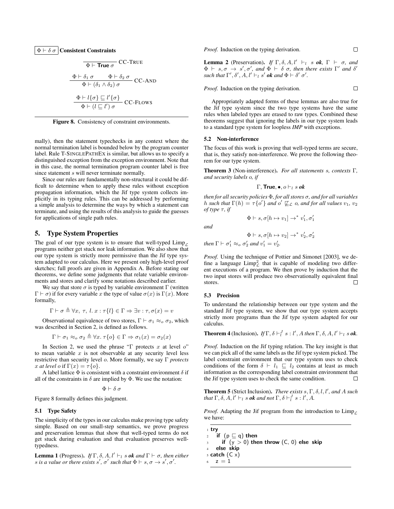$$
\frac{\Phi \vdash \text{True } \sigma}{\Phi \vdash \text{True } \sigma} CC\text{-TRUE}
$$
\n
$$
\frac{\Phi \vdash \delta_1 \sigma \qquad \Phi \vdash \delta_2 \sigma}{\Phi \vdash (\delta_1 \land \delta_2) \sigma} CC\text{-AND}
$$
\n
$$
\frac{\Phi \vdash l\{\sigma\} \sqsubseteq l'\{\sigma\}}{\Phi \vdash (l \sqsubseteq l') \sigma} CC\text{-Flows}
$$

<span id="page-9-2"></span>Figure 8. Consistency of constraint environments.

mally), then the statement typechecks in any context where the normal termination label is bounded below by the program counter label. Rule T-SINGLEPATHEX is similar, but allows us to specify a distinguished exception from the exception environment. Note that in this case, the normal termination program counter label is free since statement s will never terminate normally.

Since our rules are fundamentally non-structural it could be difficult to determine when to apply these rules without exception propagation information, which the Jif type system collects implicitly in its typing rules. This can be addressed by performing a simple analysis to determine the ways by which a statement can terminate, and using the results of this analysis to guide the guesses for applications of single path rules.

## 5. Type System Properties

The goal of our type system is to ensure that well-typed  $\lim_{\theta \to 0}$ programs neither get stuck nor leak information. We also show that our type system is strictly more permissive than the Jif type system adapted to our calculus. Here we present only high-level proof sketches; full proofs are given in Appendix [A.](#page-12-24) Before stating our theorems, we define some judgments that relate variable environments and stores and clarify some notations described earlier.

We say that store  $\sigma$  is typed by variable environment  $\Gamma$  (written  $Γ ⊢ σ)$  if for every variable x the type of value  $σ(x)$  is Γ(x). More formally,

$$
\Gamma \vdash \sigma \triangleq \forall x, \tau, l. x : \tau\{l\} \in \Gamma \Rightarrow \exists v : \tau, \sigma(x) = v
$$

Observational equivalence of two stores,  $\Gamma \vdash \sigma_1 \approx_o \sigma_2$ , which was described in Section [2,](#page-2-0) is defined as follows.

$$
\Gamma \vdash \sigma_1 \approx_o \sigma_2 \triangleq \forall x. \ \tau \{o\} \in \Gamma \Rightarrow \sigma_1(x) = \sigma_2(x)
$$

In Section [2,](#page-2-0) we used the phrase "Γ protects x at level  $o$ " to mean variable  $x$  is not observable at any security level less restrictive than security level o. More formally, we say Γ *protects* x at level o if  $\Gamma(x) = \tau \{o\}.$ 

A label lattice  $\Phi$  is consistent with a constraint environment  $\delta$  if all of the constraints in  $\delta$  are implied by  $\Phi$ . We use the notation:

 $\Phi \vdash \delta \sigma$ 

Figure [8](#page-9-2) formally defines this judgment.

#### 5.1 Type Safety

The simplicity of the types in our calculus make proving type safety simple. Based on our small-step semantics, we prove progress and preservation lemmas that show that well-typed terms do not get stuck during evaluation and that evaluation preserves welltypedness.

**Lemma 1** (Progress). *If*  $\Gamma$ ,  $\delta$ ,  $A$ ,  $l' \vdash_l s$  *ok and*  $\Gamma \vdash \sigma$ *, then either s* is a value or there exists  $s'$ ,  $\sigma'$  such that  $\Phi \vdash s, \sigma \rightarrow s', \sigma'.$ 

*Proof.* Induction on the typing derivation.

**Lemma 2** (Preservation). *If*  $\Gamma$ ,  $\delta$ ,  $A$ ,  $l' \vdash_l s$  *ok*,  $\Gamma \vdash \sigma$ , *and*  $\Phi$   $\vdash$  s,  $\sigma$   $\rightarrow$  s',  $\sigma'$ , and  $\Phi$   $\vdash$   $\delta$   $\sigma$ , then there exists  $\Gamma'$  and  $\delta'$ *such that*  $\Gamma', \delta', A, l' \vdash_l s'$  *ok and*  $\Phi \vdash \delta' \sigma'.$ 

*Proof.* Induction on the typing derivation.  $\Box$ 

Appropriately adapted forms of these lemmas are also true for the Jif type system since the two type systems have the same rules when labeled types are erased to raw types. Combined these theorems suggest that ignoring the labels in our type system leads to a standard type system for loopless *IMP* with exceptions.

#### <span id="page-9-0"></span>5.2 Non-interference

The focus of this work is proving that well-typed terms are secure, that is, they satisfy non-interference. We prove the following theorem for our type system.

Theorem 3 (Non-interference). *For all statements* s*, contexts* Γ*, and security labels* o*, if*

$$
\Gamma, \mathsf{True}, \bullet, o \vdash_l s \mathit{ok}
$$

*then for all security policies* Φ*, for all stores* σ*, and for all variables* h such that  $\Gamma(h) = \tau \{o'\}$  and  $o' \not\sqsubseteq_{\mathcal{L}} o$ , and for all values  $v_1$ ,  $v_2$ *of type*  $\tau$ *, if* 

$$
\quad \ \ \, and
$$

$$
\Phi \vdash s, \sigma[h \mapsto v_1] \rightarrow^* v_1', \sigma_1'
$$

 $\Phi \vdash s, \sigma[h \mapsto v_2] \rightarrow^* v_2', \sigma_2'$ *then*  $\Gamma \vdash \sigma'_1 \approx_o \sigma'_2$  *and*  $v'_1 = v'_2$ *.* 

*Proof.* Using the technique of [Pottier and Simonet](#page-12-16) [\[2003\]](#page-12-16), we define a language  $\text{Limp}_\mathcal{L}^2$  that is capable of modeling two different executions of a program. We then prove by induction that the two input stores will produce two observationally equivalent final stores.  $\Box$ 

#### <span id="page-9-1"></span>5.3 Precision

To understand the relationship between our type system and the standard Jif type system, we show that our type system accepts strictly more programs than the Jif type system adapted for our calculus.

**Theorem 4** (Inclusion). *If*  $\Gamma$ ,  $\delta \vdash_l^J s : l'$ , *A then*  $\Gamma$ ,  $\delta$ , *A*,  $l' \vdash_l s$  *ok*.

*Proof.* Induction on the Jif typing relation. The key insight is that we can pick all of the same labels as the Jif type system picked. The label constraint environment that our type system uses to check conditions of the form  $\delta \vdash l_1 \sqsubseteq l_2$  contains at least as much information as the corresponding label constraint environment that the Jif type system uses to check the same condition.  $\Box$ 

**Theorem 5** (Strict Inclusion). *There exists*  $s, \Gamma, \delta, l, l'$ , and A such *that*  $\Gamma$ ,  $\delta$ ,  $A$ ,  $l' \vdash_l s$  *ok and not*  $\Gamma$ ,  $\delta \vdash_l^J s : l'$ ,  $A$ .

*Proof.* Adapting the Jif program from the introduction to  $\lim_{\Gamma}$ we have:

<sup>1</sup> try 2 if  $(p \sqsubseteq q)$  then if  $(y > 0)$  then throw  $(C, 0)$  else skip else skip  $5$  catch  $(C \times)$  $z = 1$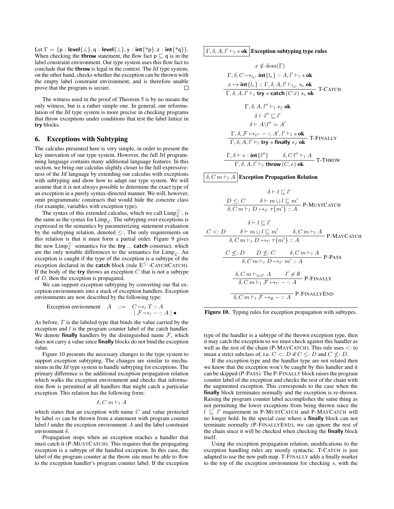Let  $\Gamma = \{p : \text{level}\{\perp\}, q : \text{level}\{\perp\}, y : \text{int}\{\n *p\}, z : \text{int}\{\n *q\}\}.$ When checking the **throw** statement, the flow fact  $p \sqsubset q$  is in the label constraint environment. Our type system uses this flow fact to conclude that the throw is legal in the context. The Jif type system, on the other hand, checks whether the exception can be thrown with the empty label constraint environment, and is therefore unable prove that the program is secure. П

The witness used in the proof of Theorem 5 is by no means the only witness, but is a rather simple one. In general, our reformulation of the Jif type system is more precise in checking programs that throw exceptions under conditions that test the label lattice in try blocks.

## <span id="page-10-0"></span>6. Exceptions with Subtyping

The calculus presented here is very simple, in order to present the key innovation of our type system. However, the full Jif programming language contains many additional language features. In this section, we bring our calculus slightly closer to the full expressiveness of the Jif language by extending our calculus with exceptions with subtyping and show how to adapt our type system. We will assume that it is not always possible to determine the exact type of an exception in a purely syntax-directed manner. We will, however, omit programmatic constructs that would hide the concrete class (for example, variables with exception type).

The syntax of this extended calculus, which we call  $\text{Limp}_{\mathcal{L}}^{\leq}$ ; is the same as the syntax for  $\lim_{\varepsilon}$ . The subtyping over exceptions is expressed in the semantics by parameterizing statement evaluation by the subtyping relation, denoted  $\leq$ :. The only requirements on this relation is that it must form a partial order. Figure [9](#page-11-3) gives the new  $\text{Limp}_{\mathcal{L}}^{\leq}$ : semantics for the **try** ... **catch** construct, which are the only notable differences to the semantics for  $\lim_{\Gamma} P_{\Gamma}$ . An exception is caught if the type of the exception is a subtype of the exception declared in the **catch** block (rule  $E^{\leq}$ : -CATCHCATCH). If the body of the try throws an exception  $C$  that is not a subtype of D, then the exception is propagated.

We can support exception subtyping by converting our flat exception environments into a stack of exception handlers. Exception environments are now described by the following type:

Exception environment 
$$
A ::= C \mapsto_l T :: A
$$
  
 $|\mathcal{F} \mapsto_l - :: A| \bullet$ 

As before, T is the labeled type that binds the value carried by the exception and  $l$  is the program counter label of the catch handler. We denote **finally** handlers by the distinguished name  $\mathcal{F}$ , which does not carry a value since finally blocks do not bind the exception value.

Figure [10](#page-10-1) presents the necessary changes to the type system to support exception subtyping. The changes are similar to mechanisms in the Jif type system to handle subtyping for exceptions. The primary difference is the additional exception propagation relation which walks the exception environment and checks that information flow is permitted at all handlers that might catch a particular exception. This relation has the following form:

$$
\delta, C\ m \vdash_l A
$$

which states that an exception with name  $C$  and value protected by label  $m$  can be thrown from a statement with program counter label  $l$  under the exception environment  $A$  and the label constraint environment δ.

Propagation stops when an exception reaches a handler that must catch it (P-MUSTCATCH). This requires that the propagating exception is a subtype of the handled exception. In this case, the label of the program counter at the throw site must be able to flow to the exception handler's program counter label. If the exception

## $\Gamma$ ,  $\delta$ ,  $A$ ,  $l' \vdash_l s$  ok Exception subtyping type rules

$$
x \notin \text{dom}(\Gamma)
$$
\n
$$
\Gamma, \delta, C \mapsto_{l_C} \text{int}\{l_e\} :: A, l' \vdash_l s \text{ ok}
$$
\n
$$
x \mapsto \text{int}\{l_e\} :: \Gamma, \delta, A, l' \vdash_l c s_e \text{ ok}
$$
\n
$$
\frac{\Gamma, \delta, A, l' \vdash_l \text{try } s \text{ catch } (C x) s_e \text{ ok}}{\Gamma, \delta, A, l' \vdash_l s_f \text{ ok}}
$$
\n
$$
\delta \vdash l'' \sqsubseteq l'
$$
\n
$$
\delta \vdash A \setminus l'' = A'
$$
\n
$$
\frac{\Gamma, \delta, \mathcal{F} \mapsto_{l''} - :: A', l' \vdash_l s \text{ ok}}{\Gamma, \delta, A, l' \vdash_l \text{try } s \text{ finally } s_f \text{ ok}}
$$
\n
$$
\frac{\Gamma, \delta \vdash e : \text{int}\{l''\}}{\Gamma, \delta, A, l' \vdash_l \text{ throw } (C, e) \text{ ok}}
$$
\nT-THROW

δ, C m  $\vdash_l A$  Exception Propagation Relation

$$
\delta \vdash l \sqsubseteq l'
$$
\n
$$
\frac{D \leq: C \quad \delta \vdash m \sqcup l \sqsubseteq m'}{\delta, C m \vdash_l D \mapsto_{l'} \tau\{m'\} :: A} \text{ P-MUSTCATEH}
$$
\n
$$
\delta \vdash l \sqsubseteq l'
$$
\n
$$
C <: D \quad \delta \vdash m \sqcup l \sqsubseteq m' \quad \delta, C m \vdash_l A \text{ P-MAYCATEH}
$$
\n
$$
\frac{C \leq: D \quad D \leq: C \quad \delta, C m \vdash_l A}{\delta, C m \vdash_l D \mapsto_{l'} m' :: A} \text{ P-PASS}
$$
\n
$$
\frac{\delta, C m \vdash_l D \mapsto_{l'} m' :: A}{\delta, C m \vdash_l \mathcal{F} \mapsto_{l'} - :: A} \text{ P-FINALLY}
$$
\n
$$
\frac{\delta, C m \vdash_l \mathcal{F} \mapsto_{l'} - :: A}{\delta, C m \vdash_l \mathcal{F} \mapsto_{\emptyset} - :: A} \text{ P-FINALLY} \text{ED}
$$

<span id="page-10-1"></span>

type of the handler is a subtype of the thrown exception type, then it may catch the exception so we must check against this handler as well as the rest of the chain (P-MAYCATCH). This rule uses  $\lt$ : to mean a strict subclass of, i.e.  $C \leq D$  if  $C \leq D$  and  $C \nleq D$ .

If the exception type and the handler type are not related then we know that the exception won't be caught by this handler and it can be skipped (P-PASS). The P-FINALLY block raises the program counter label of the exception and checks the rest of the chain with the augmented exception. This corresponds to the case when the finally block terminates normally and the exception is re-thrown. Raising the program counter label accomplishes the same thing as not permitting the lower exceptions from being thrown since the  $l \sqsubseteq l'$  requirement in P-MUSTCATCH and P-MAYCATCH will no longer hold. In the special case where a finally block can not terminate normally (P-FINALLYEND), we can ignore the rest of the chain since it will be checked when checking the finally block itself.

Using the exception propagation relation, modifications to the exception handling rules are mostly syntactic. T-CATCH is just adapted to use the new path map. T-FINALLY adds a finally marker to the top of the exception environment for checking s, with the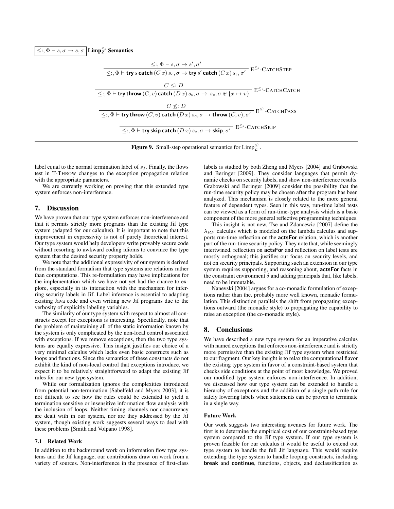$\leq$ :,  $\Phi \vdash s, \sigma \rightarrow s, \sigma \mid$  Limp $\frac{\leq}{\mathcal{L}}$ : Semantics

$$
\leq \, , \Phi \vdash s, \sigma \rightarrow s', \sigma'
$$
\n
$$
\leq \, , \Phi \vdash \text{try } s \text{ catch } (C \, x) \, s_c, \sigma \rightarrow \text{try } s' \text{ catch } (C \, x) \, s_c, \sigma' \quad \text{E}^{\leq}:\text{-CATCHSTEP}
$$
\n
$$
\leq \, , \Phi \vdash \text{try throw } (C, v) \text{ catch } (D \, x) \, s_c, \sigma \rightarrow s_c, \sigma \uplus \{x \mapsto v\} \quad \text{E}^{\leq}:\text{-CATCHCATCH}
$$
\n
$$
\leq \, , \Phi \vdash \text{try throw } (C, v) \text{ catch } (D \, x) \, s_c, \sigma \rightarrow \text{throw } (C, v), \sigma' \quad \text{E}^{\leq}:\text{-CATCHPass}
$$
\n
$$
\leq \, , \Phi \vdash \text{try skip catch } (D \, x) \, s_c, \sigma \rightarrow \text{skip}, \sigma' \quad \text{E}^{\leq}:\text{-CATCHSKIP}
$$

<span id="page-11-3"></span>**Figure 9.** Small-step operational semantics for  $\text{Limp}_{\mathcal{L}}^{\leq}$ .

label equal to the normal termination label of  $s_f$ . Finally, the flows test in T-THROW changes to the exception propagation relation with the appropriate parameters.

We are currently working on proving that this extended type system enforces non-interference.

## <span id="page-11-0"></span>7. Discussion

We have proven that our type system enforces non-interference and that it permits strictly more programs than the existing Jif type system (adapted for our calculus). It is important to note that this improvement in expressivity is not of purely theoretical interest. Our type system would help developers write provably secure code without resorting to awkward coding idioms to convince the type system that the desired security property holds.

We note that the additional expressivity of our system is derived from the standard formalism that type systems are relations rather than computations. This re-formulation may have implications for the implementation which we have not yet had the chance to explore, especially in its interaction with the mechanism for inferring security labels in Jif. Label inference is essential to adapting existing Java code and even writing new Jif programs due to the verbosity of explicitly labeling variables.

The similarity of our type system with respect to almost all constructs except for exceptions is interesting. Specifically, note that the problem of maintaining all of the static information known by the system is only complicated by the non-local control associated with exceptions. If we remove exceptions, then the two type systems are equally expressive. This insight justifies our choice of a very minimal calculus which lacks even basic constructs such as loops and functions. Since the semantics of these constructs do not exhibit the kind of non-local control that exceptions introduce, we expect it to be relatively straightforward to adapt the existing Jif rules for our new type system.

While our formalization ignores the complexities introduced from potential non-termination [\[Sabelfeld and Myers 2003\]](#page-12-21), it is not difficult to see how the rules could be extended to yield a termination sensitive or insensitive information flow analysis with the inclusion of loops. Neither timing channels nor concurrency are dealt with in our system, nor are they addressed by the Jif system, though existing work suggests several ways to deal with these problems [\[Smith and Volpano 1998\]](#page-12-25).

## <span id="page-11-1"></span>7.1 Related Work

In addition to the background work on information flow type systems and the Jif language, our contributions draw on work from a variety of sources. Non-interference in the presence of first-class labels is studied by both [Zheng and Myers](#page-12-26) [\[2004\]](#page-12-26) and [Grabowski](#page-12-27) [and Beringer](#page-12-27) [\[2009\]](#page-12-27). They consider languages that permit dynamic checks on security labels, and show non-interference results. [Grabowski and Beringer](#page-12-27) [\[2009\]](#page-12-27) consider the possibility that the run-time security policy may be chosen after the program has been analyzed. This mechanism is closely related to the more general feature of dependent types. Seen in this way, run-time label tests can be viewed as a form of run-time-type analysis which is a basic component of the more general reflective programming techniques.

This insight is not new, [Tse and Zdancewic](#page-12-12) [\[2007\]](#page-12-12) define the  $\lambda_{RP}$  calculus which is modeled on the lambda calculus and supports run-time reflection on the actsFor relation, which is another part of the run-time security policy. They note that, while seemingly intertwined, reflection on actsFor and reflection on label tests are mostly orthogonal; this justifies our focus on security levels, and not on security principals. Supporting such an extension in our type system requires supporting, and reasoning about, **actsFor** facts in the constraint environment  $\delta$  and adding principals that, like labels, need to be immutable.

[Nanevski](#page-12-28) [\[2004\]](#page-12-28) argues for a co-monadic formulation of exceptions rather than the, probably more well known, monadic formulation. This distinction parallels the shift from propagating exceptions outward (the monadic style) to propagating the capability to raise an exception (the co-monadic style).

## <span id="page-11-2"></span>8. Conclusions

We have described a new type system for an imperative calculus with named exceptions that enforces non-interference and is strictly more permissive than the existing Jif type system when restricted to our fragment. Our key insight is to relax the computational flavor the existing type system in favor of a constraint-based system that checks side conditions at the point of most knowledge. We proved our modified type system enforces non-interference. In addition, we discussed how our type system can be extended to handle a hierarchy of exceptions and the addition of a single path rule for safely lowering labels when statements can be proven to terminate in a single way.

## Future Work

Our work suggests two interesting avenues for future work. The first is to determine the empirical cost of our constraint-based type system compared to the Jif type system. If our type system is proven feasible for our calculus it would be useful to extend out type system to handle the full Jif language. This would require extending the type system to handle looping constructs, including break and continue, functions, objects, and declassification as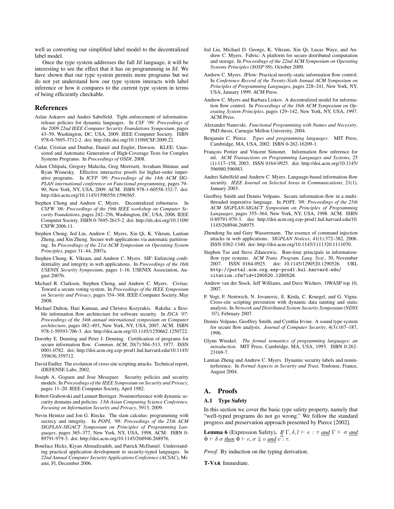well as converting our simplified label model to the decentralized label model.

Once the type system addresses the full Jif language, it will be interesting to see the effect that it has on programming in Jif. We have shown that our type system permits more programs but we do not yet understand how our type system interacts with label inference or how it compares to the current type system in terms of being efficiently checkable.

## References

- <span id="page-12-13"></span>Aslan Askarov and Andrei Sabelfeld. Tight enforcement of informationrelease policies for dynamic languages. In *CSF '09: Proceedings of the 2009 22nd IEEE Computer Security Foundations Symposium*, pages 43–59, Washington, DC, USA, 2009. IEEE Computer Society. ISBN 978-0-7695-3712-2. doi: http://dx.doi.org/10.1109/CSF.2009.22.
- <span id="page-12-8"></span>Cadar, Cristian and Dunbar, Daniel and Engler, Dawson. KLEE: Unassisted and Automatic Generation of High-Coverage Tests for Complex Systems Programs. In *Proceedings of OSDI*, 2008.
- <span id="page-12-9"></span>Adam Chlipala, Gregory Malecha, Greg Morrisett, Avraham Shinnar, and Ryan Wisnesky. Effective interactive proofs for higher-order imperative programs. In *ICFP '09: Proceedings of the 14th ACM SIG-PLAN international conference on Functional programming*, pages 79– 90, New York, NY, USA, 2009. ACM. ISBN 978-1-60558-332-7. doi: http://doi.acm.org/10.1145/1596550.1596565.
- <span id="page-12-23"></span>Stephen Chong and Andrew C. Myers. Decentralized robustness. In *CSFW '06: Proceedings of the 19th IEEE workshop on Computer Security Foundations*, pages 242–256, Washington, DC, USA, 2006. IEEE Computer Society. ISBN 0-7695-2615-2. doi: http://dx.doi.org/10.1109/ CSFW.2006.11.
- <span id="page-12-6"></span>Stephen Chong, Jed Liu, Andrew C. Myers, Xin Qi, K. Vikram, Lantian Zheng, and Xin Zheng. Secure web applications via automatic partitioning. In *Proceedings of the 21st ACM Symposium on Operating System Principles*, pages 31–44, 2007a.
- <span id="page-12-7"></span>Stephen Chong, K. Vikram, and Andrew C. Myers. SIF: Enforcing confidentiality and integrity in web applications. In *Proceedings of the 16th USENIX Security Symposium*, pages 1–16. USENIX Association, August 2007b.
- <span id="page-12-17"></span>Michael R. Clarkson, Stephen Chong, and Andrew C. Myers. Civitas: Toward a secure voting system. In *Proceedings of the IEEE Symposium on Security and Privacy*, pages 354–368. IEEE Computer Society, May 2008.
- <span id="page-12-3"></span>Michael Dalton, Hari Kannan, and Christos Kozyrakis. Raksha: a flexible information flow architecture for software security. In *ISCA '07: Proceedings of the 34th annual international symposium on Computer architecture*, pages 482–493, New York, NY, USA, 2007. ACM. ISBN 978-1-59593-706-3. doi: http://doi.acm.org/10.1145/1250662.1250722.
- <span id="page-12-19"></span>Dorothy E. Denning and Peter J. Denning. Certification of programs for secure information flow. *Commun. ACM*, 20(7):504–513, 1977. ISSN 0001-0782. doi: http://doi.acm.org.ezp-prod1.hul.harvard.edu/10.1145/ 359636.359712.
- <span id="page-12-1"></span>David Endler. The evolution of cross site scripting attacks. Technical report, iDEFENSE Labs, 2002.
- <span id="page-12-10"></span>Joseph A. Goguen and Jose Meseguer. Security policies and security models. In *Proceedings of the IEEE Symposium on Security and Privacy*, pages 11–20. IEEE Computer Society, April 1982.
- <span id="page-12-27"></span>Robert Grabowski and Lennart Beringer. Noninterference with dynamic security domains and policies. *13th Asian Computing Science Conference, Focusing on Information Security and Privacy*, 5913, 2009.
- <span id="page-12-11"></span>Nevin Heintze and Jon G. Riecke. The slam calculus: programming with secrecy and integrity. In *POPL '98: Proceedings of the 25th ACM SIGPLAN-SIGACT Symposium on Principles of Programming Languages*, pages 365–377, New York, NY, USA, 1998. ACM. ISBN 0- 89791-979-3. doi: http://doi.acm.org/10.1145/268946.268976.
- <span id="page-12-18"></span>Boniface Hicks, Kiyan Ahmadizadeh, and Patrick McDaniel. Understanding practical application development in security-typed languages. In *22nd Annual Computer Security Applications Conference (ACSAC)*, Miami, Fl, December 2006.
- <span id="page-12-5"></span>Jed Liu, Michael D. George, K. Vikram, Xin Qi, Lucas Waye, and Andrew C. Myers. Fabric: A platform for secure distributed computation and storage. In *Proceedings of the 22nd ACM Symposium on Operating Systems Principles (SOSP'09)*, October 2009.
- <span id="page-12-15"></span>Andrew C. Myers. JFlow: Practical mostly-static information flow control. In *Conference Record of the Twenty-Sixth Annual ACM Symposium on Principles of Programming Languages*, pages 228–241, New York, NY, USA, January 1999. ACM Press.
- <span id="page-12-20"></span>Andrew C. Myers and Barbara Liskov. A decentralized model for information flow control. In *Proceedings of the 16th ACM Symposium on Operating System Principles*, pages 129–142, New York, NY, USA, 1997. ACM Press.
- <span id="page-12-28"></span>Alexander Nanevski. *Functional Programming with Names and Necessity*. PhD thesis, Carnegie Mellon University, 2004.
- <span id="page-12-29"></span>Benjamin C. Pierce. *Types and programming languages*. MIT Press, Cambridge, MA, USA, 2002. ISBN 0-262-16209-1.
- <span id="page-12-16"></span>François Pottier and Vincent Simonet. Information flow inference for ml. *ACM Transactions on Programming Languages and Systems*, 25 (1):117–158, 2003. ISSN 0164-0925. doi: http://doi.acm.org/10.1145/ 596980.596983.
- <span id="page-12-21"></span>Andrei Sabelfeld and Andrew C. Myers. Language-based information-flow security. *IEEE Journal on Selected Areas in Communications*, 21(1), January 2003.
- <span id="page-12-25"></span>Geoffrey Smith and Dennis Volpano. Secure information flow in a multithreaded imperative language. In *POPL '98: Proceedings of the 25th ACM SIGPLAN-SIGACT Symposium on Principles of Programming Languages*, pages 355–364, New York, NY, USA, 1998. ACM. ISBN 0-89791-979-3. doi: http://doi.acm.org.ezp-prod1.hul.harvard.edu/10. 1145/268946.268975.
- <span id="page-12-0"></span>Zhendong Su and Gary Wassermann. The essence of command injection attacks in web applications. *SIGPLAN Notices*, 41(1):372–382, 2006. ISSN 0362-1340. doi: http://doi.acm.org/10.1145/1111320.1111070.
- <span id="page-12-12"></span>Stephen Tse and Steve Zdancewic. Run-time principals in informationflow type systems. *ACM Trans. Program. Lang. Syst.*, 30, November 2007. ISSN 0164-0925. doi: 10.1145/1290520.1290526. URL [http://portal.acm.org.ezp-prod1.hul.harvard.edu/](http://portal.acm.org.ezp-prod1.hul.harvard.edu/citation.cfm?id=1290520.1290526) [citation.cfm?id=1290520.1290526](http://portal.acm.org.ezp-prod1.hul.harvard.edu/citation.cfm?id=1290520.1290526).
- <span id="page-12-2"></span>Andrew van der Stock, Jeff Williams, and Dave Wichers. OWASP top 10, 2007.
- <span id="page-12-4"></span>P. Vogt, F. Nentwich, N. Jovanovic, E. Kirda, C. Kruegel, and G. Vigna. Cross-site scripting prevention with dynamic data tainting and static analysis. In *Network and Distributed System Security Symposium (NDSS '07)*, February 2007.
- <span id="page-12-14"></span>Dennis Volpano, Geoffrey Smith, and Cynthia Irvine. A sound type system for secure flow analysis. *Journal of Computer Security*, 4(3):167–187, 1996.
- <span id="page-12-22"></span>Glynn Winskel. *The formal semantics of programming languages: an introduction*. MIT Press, Cambridge, MA, USA, 1993. ISBN 0-262- 23169-7.
- <span id="page-12-26"></span>Lantian Zheng and Andrew C. Myers. Dynamic security labels and noninterference. In *Formal Aspects in Security and Trust*, Toulouse, France, August 2004.

## <span id="page-12-24"></span>A. Proofs

#### A.1 Type Safety

In this section we cover the basic type safety property, namely that "well-typed programs do not go wrong." We follow the standard progress and preservation approach presented by [Pierce](#page-12-29) [\[2002\]](#page-12-29).

<span id="page-12-30"></span>**Lemma 6** (Expression Safety). *If*  $\Gamma$ ,  $\delta$ ,  $l \vdash e : \tau$  *and*  $\Gamma \vdash \sigma$  *and*  $\Phi \vdash \delta \sigma$  <u>then</u>  $\Phi \vdash e, \sigma \Downarrow v$  and  $v : \tau$ .

*Proof.* By induction on the typing derivation.

T-VAR Immediate.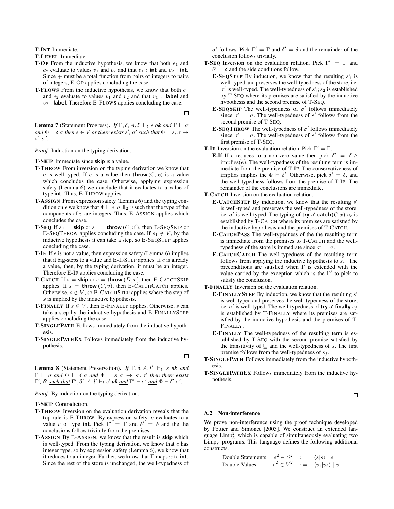T-INT Immediate.

T-LEVEL Immediate.

- **T-OP** From the inductive hypothesis, we know that both  $e_1$  and  $e_2$  evaluate to values  $v_1$  and  $v_2$  and that  $v_1$  : int and  $v_2$  : int. Since  $\oplus$  must be a total function from pairs of integers to pairs of integers, E-OP applies concluding the case.
- **T-FLOWS** From the inductive hypothesis, we know that both  $e_1$ and  $e_2$  evaluate to values  $v_1$  and  $v_2$  and that  $v_1$ : **label** and  $v_2$ : label. Therefore E-FLOWS applies concluding the case.

П

**Lemma 7** (Statement Progress). *If*  $\Gamma$ ,  $\delta$ ,  $A$ ,  $l' \vdash_l s$  *ok and*  $\Gamma \vdash \sigma$  $and \Phi \vdash \delta \sigma$  <u>*then*</u>  $s \in V$  <u>or</u> there <u>exists</u>  $s', \sigma'$  <u>such that</u>  $\Phi \vdash s, \sigma \rightarrow$  $\overline{s',\sigma'}.$ 

*Proof.* Induction on the typing derivation.

T-SKIP Immediate since skip is a value.

- T-THROW From inversion on the typing derivation we know that e is well-typed. If e is a value then **throw**  $(C, e)$  is a value which concludes the case. Otherwise, applying expression safety (Lemma [6\)](#page-12-30) we conclude that it evaluates to a value of type int. Thus, E-THROW applies.
- T-ASSIGN From expression safety (Lemma [6\)](#page-12-30) and the typing condition on e we know that  $\Phi \vdash e, \sigma \Downarrow_2 v$  such that the type of the components of  $v$  are integers. Thus, E-ASSIGN applies which concludes the case.
- **T-SEQ** If  $s_1 =$  **skip** or  $s_1 =$  **throw**  $(C, v')$ , then E-SEQSKIP or E-SEQTHROW applies concluding the case. If  $s_1 \notin V$ , by the inductive hypothesis it can take a step, so E-SEQSTEP applies concluding the case.
- **T-IF** If  $e$  is not a value, then expression safety (Lemma [6\)](#page-12-30) implies that it big-steps to a value and E-IFSTEP applies. If  $e$  is already a value, then, by the typing derivation, it must be an integer. Therefore E-IF applies concluding the case.
- **T-CATCH** If  $s =$  **skip** or  $s =$  **throw**  $(D, v)$ , then E-CATCHSKIP applies. If  $s =$  throw  $(C, v)$ , then E-CATCHCATCH applies. Otherwise,  $s \notin V$ , so E-CATCHSTEP applies where the step of s is implied by the inductive hypothesis.
- **T-FINALLY** If  $s \in V$ , then E-FINALLY applies. Otherwise, s can take a step by the inductive hypothesis and E-FINALLYSTEP applies concluding the case.
- T-SINGLEPATH Follows immediately from the inductive hypothesis.
- T-SINGLEPATHEX Follows immediately from the inductive hypothesis.

 $\Box$ 

<span id="page-13-0"></span>**Lemma 8** (Statement Preservation). *If*  $\Gamma$ ,  $\delta$ ,  $A$ ,  $l' \vdash_l s$  *ok and*  $\Gamma \vdash \sigma$  and  $\Phi \vdash \delta$   $\sigma$  and  $\Phi \vdash s, \sigma \rightarrow s', \sigma'$  then there exists  $\Gamma'$ ,  $\delta'$  *such that*  $\Gamma', \delta', \overline{A, l'} \vdash_l s'$  *ok and*  $\Gamma' \vdash \sigma'$  *and*  $\Phi \vdash \delta'$   $\overline{\sigma'}.$ 

*Proof.* By induction on the typing derivation.

T-SKIP Contradiction.

- T-THROW Inversion on the evaluation derivation reveals that the top rule is E-THROW. By expression safety, e evaluates to a value v of type int. Pick  $\Gamma' = \Gamma$  and  $\delta' = \delta$  and the the conclusions follow trivially from the premises.
- T-ASSIGN By E-ASSIGN, we know that the result is skip which is well-typed. From the typing derivation, we know that  $e$  has integer type, so by expression safety (Lemma [6\)](#page-12-30), we know that it reduces to an integer. Further, we know that  $\Gamma$  maps x to int. Since the rest of the store is unchanged, the well-typedness of

 $\sigma'$  follows. Pick  $\Gamma' = \Gamma$  and  $\delta' = \delta$  and the remainder of the conclusion follows trivially.

- **T-SEQ** Inversion on the evaluation relation. Pick  $\Gamma' = \Gamma$  and  $\delta' = \delta$  and the side conditions follow.
	- **E-SEQSTEP** By induction, we know that the resulting  $s'_1$  is well-typed and preserves the well-typedness of the store, i.e.  $\sigma'$  is well-typed. The well-typedness of  $s_1$ ;  $s_2$  is established by T-SEQ where its premises are satisfied by the inductive hypothesis and the second premise of T-SEQ.
	- **E-SEQSKIP** The well-typedness of  $\sigma'$  follows immediately since  $\sigma' = \sigma$ . The well-typedness of s' follows from the second premise of T-SEQ.
	- **E-SEQTHROW** The well-typedness of  $\sigma'$  follows immediately since  $\sigma' = \sigma$ . The well-typedness of s' follows from the first premise of T-SEQ.
- **T-IF** Inversion on the evaluation relation. Pick  $\Gamma' = \Gamma$ .
	- **E-If** If e reduces to a non-zero value then pick  $\delta' = \delta \wedge$  $implies(e)$ . The well-typedness of the resulting term is immediate from the premise of T-IF. The conservativeness of implies implies the  $\Phi \vdash \delta'$ . Otherwise, pick  $\delta' = \delta$ , and the well-typedness follows from the premise of T-IF. The remainder of the conclusions are immediate.
- T-CATCH Inversion on the evaluation relation.
	- E-CATCHSTEP By induction, we know that the resulting  $s'$ is well-typed and preserves the well-typedness of the store, i.e.  $\sigma'$  is well-typed. The typing of try s' catch(C x) se is established by T-CATCH where its premises are satisfied by the inductive hypothesis and the premises of T-CATCH.
	- E-CATCHPASS The well-typedness of the the resulting term is immediate from the premises to T-CATCH and the welltypedness of the store is immediate since  $\sigma' = \sigma$ .
	- E-CATCHCATCH The well-typedness of the resulting term follows from applying the inductive hypothesis to  $s_e$ . The preconditions are satisfied when  $\Gamma$  is extended with the value carried by the exception which is the  $\Gamma'$  to pick to satisfy the conclusion.
- T-FINALLY Inversion on the evaluation relation.
	- E-FINALLYSTEP By induction, we know that the resulting  $s'$ is well-typed and preserves the well-typedness of the store, i.e.  $\sigma'$  is well-typed. The well-typedness of try s' finally  $s_f$ is established by T-FINALLY where its premises are satisfied by the inductive hypothesis and the premises of T-FINALLY.
	- E-FINALLY The well-typedness of the resulting term is established by T-SEQ with the second premise satisfied by the transitivity of  $\sqsubseteq$  and the well-typedness of s. The first premise follows from the well-typedness of  $s_f$ .
- T-SINGLEPATH Follows immediately from the inductive hypothesis.
- T-SINGLEPATHEX Follows immediately from the inductive hypothesis.

 $\Box$ 

## A.2 Non-interference

We prove non-interference using the proof technique developed by [Pottier and Simonet](#page-12-16) [\[2003\]](#page-12-16). We construct an extended language  $\lim_{\mathcal{L}}^2$  which is capable of simultaneously evaluating two  $\lim_{\Gamma}$  programs. This language defines the following additional constructs.

Double Statements 
$$
s^2 \in S^2
$$
 ::=  $\langle s|s \rangle | s$   
Double Values  $v^2 \in V^2$  ::=  $\langle v_1|v_2 \rangle | v$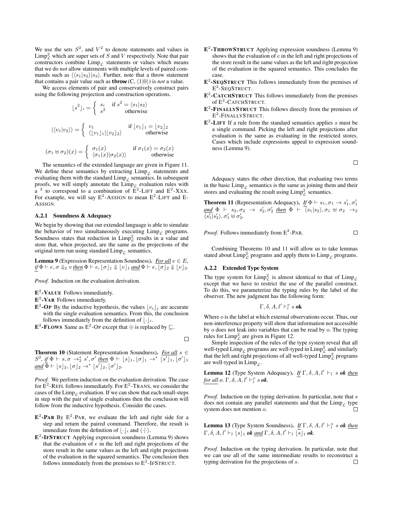We use the sets  $S^2$ , and  $V^2$  to denote statements and values in  $\mathrm{Limp}_\mathcal{L}^2$  which are super sets of S and V respectively. Note that pair constructors combine  $\lim_{\rho}$  statements or values which means that we do *not* allow statements with multiple levels of paired commands such as  $\langle \langle s_1|s_2 \rangle | s_3 \rangle$ . Further, note that a throw statement that contains a pair value such as **throw**  $(C, \langle 1|0 \rangle)$  is *not* a value.

We access elements of pair and conservatively construct pairs using the following projection and construction operations.

$$
\lfloor s^2 \rfloor_i = \begin{cases} s_i & \text{if } s^2 = \langle s_1 | s_2 \rangle \\ s^2 & \text{otherwise} \end{cases}
$$

$$
\langle \langle v_1 | v_2 \rangle \rangle = \begin{cases} v_1 & \text{if } \lfloor v_1 \rfloor_1 = \lfloor v_2 \rfloor_2 \\ \langle \lfloor v_1 \rfloor_1 \rfloor \lfloor v_2 \rfloor_2 \rangle & \text{otherwise} \end{cases}
$$

$$
(\sigma_1 \uplus \sigma_2)(x) = \begin{cases} \sigma_1(x) & \text{if } \sigma_1(x) = \sigma_2(x) \\ \langle \sigma_1(x) | \sigma_2(x) \rangle & \text{otherwise} \end{cases}
$$

The semantics of the extended language are given in Figure [11.](#page-15-0) We define these semantics by extracting  $\lim_{\varepsilon}$  statements and evaluating them with the standard  $\lim_{\varepsilon}$  semantics. In subsequent proofs, we will simply annotate the  $\lim_{\varepsilon}$  evaluation rules with  $a<sup>2</sup>$  to correspond to a combination of  $\overline{E}^2$ -LIFT and  $E<sup>2</sup>$ -Xxx. For example, we will say  $E^2$ -ASSIGN to mean  $E^2$ -LIFT and E-ASSIGN.

## A.2.1 Soundness & Adequacy

We begin by showing that our extended language is able to simulate the behavior of two simultaneously executing  $\lim_{\varepsilon}$  programs. Soundness states that reduction in  $\text{Limp}_\mathcal{L}^2$  results in a value and store that, when projected, are the same as the projections of the original term run using standard  $\lim_{C}$  semantics.

<span id="page-14-0"></span>**Lemma 9** (Expression Representation Soundness). *For all*  $e \in E$ ,  $if \Phi \vdash e, \sigma \Downarrow_2 v$  <u>*then*</u>  $\Phi \vdash e, [\sigma]_1 \Downarrow [v]_1$  and  $\Phi \vdash e, [\sigma]_2 \Downarrow [v]_2$ .

*Proof.* Induction on the evaluation derivation.

 $E^2$ -VALUE Follows immediately.

 $E^2$ -VAR Follows immediately.

- $\mathbf{E}^2$ -OP By the inductive hypothesis, the values  $|v_i|_j$  are accurate with the single evaluation semantics. From this, the conclusion follows immediately from the definition of  $|\cdot|_i$ .
- $\mathbf{E}^2$ -FLOWS Same as  $\mathbf{E}^2$ -OP except that  $\oplus$  is replaced by  $\sqsubseteq$ .

<span id="page-14-1"></span>Theorem 10 (Statement Representation Soundness). *For all* s ∈  $S^2$ , if  $\Phi \vdash s, \sigma \rightarrow_2^* s', \sigma'$  <u>then</u>  $\Phi \vdash \lfloor s \rfloor_1, \lfloor \sigma \rfloor_1 \rightarrow^* \lfloor \overline{s'} \rfloor_1, \lfloor \sigma' \rfloor_1$  $\underline{and} \overline{\Phi} \vdash [s]_2, [\sigma]_2 \rightarrow^* [s']_2, [\sigma']_2.$ 

*Proof.* We perform induction on the evaluation derivation. The case for  $\overline{E}^2$ -REFL follows immediately. For  $E^2$ -TRANS, we consider the cases of the Limp<sub>c</sub> evaluation. If we can show that each small-steps in step with the pair of single evaluations then the conclusion will follow from the inductive hypothesis. Consider the cases.

- $E^2$ -PAR By  $E^2$ -PAR, we evaluate the left and right side for a step and return the paired command. Therefore, the result is immediate from the definition of  $|\cdot|_i$  and  $\langle \cdot | \cdot \rangle$ .
- $E^2$ -IFSTRUCT Applying expression soundness (Lemma [9\)](#page-14-0) shows that the evaluation of  $e$  in the left and right projections of the store result in the same values as the left and right projections of the evaluation in the squared semantics. The conclusion then follows immediately from the premises to  $E^2$ -IFSTRUCT.
- E<sup>2</sup>-THROWSTRUCT Applying expression soundness (Lemma [9\)](#page-14-0) shows that the evaluation of e in the left and right projections of the store result in the same values as the left and right projection of the evaluation in the squared semantics. This concludes the case.
- $E^2$ -SEQSTRUCT This follows immediately from the premises of  $E^2$ -SeqStruct.
- $E^2$ -CATCHSTRUCT This follows immediately from the premises of E<sup>2</sup>-CatchStruct.
- $E^2$ -FINALLYSTRUCT This follows directly from the premises of E<sup>2</sup>-FinallyStruct.
- $E^2$ -LIFT If a rule from the standard semantics applies s must be a single command. Picking the left and right projections after evaluation is the same as evaluating in the restricted stores. Cases which include expressions appeal to expression soundness (Lemma [9\)](#page-14-0).

 $\Box$ 

 $\Box$ 

Adequacy states the other direction, that evaluating two terms in the basic  $\lim_{\mathcal{L}}$  semantics is the same as joining them and their stores and evaluating the result using  $\text{Limp}_\mathcal{L}^2$  semantics.

<span id="page-14-2"></span>**Theorem 11** (Representation Adequacy). *If*  $\Phi \vdash s_1, \sigma_1 \rightarrow s'_1, \sigma'_1$  $\underline{and} \Phi \vdash s_2, \sigma_2 \rightarrow s'_2, \sigma'_2$  <u>then</u>  $\Phi \vdash \overline{\langle s_1 | s_2 \rangle}, \sigma_1 \uplus \sigma_2 \rightarrow_2$  $\overline{\langle s_1' | s_2' \rangle}, \sigma_1' \uplus \sigma_2'.$ 

*Proof.* Follows immediately from  $E^2$ -PAR.

Combining Theorems [10](#page-14-1) and [11](#page-14-2) will allow us to take lemmas stated about  $\text{Limp}_\mathcal{L}^2$  programs and apply them to  $\text{Limp}_\mathcal{L}$  programs.

## A.2.2 Extended Type System

 $\Box$ 

The type system for  $\lim_{\mathcal{L}} p_{\mathcal{L}}^2$  is almost identical to that of  $\lim_{\mathcal{L}} p_{\mathcal{L}}$ except that we have to restrict the use of the parallel construct. To do this, we parameterize the typing rules by the label of the observer. The new judgment has the following form:

$$
\Gamma, \delta, A, l' \vdash^o_l s \textbf{ ok}
$$

Where  $o$  is the label at which external observations occur. Thus, our non-interference property will show that information not accessible by o does not leak into variables that can be read by o. The typing rules for  $\lim_{\mathcal{L}}^2$  are given in Figure [12.](#page-16-0)

Simple inspection of the rules of the type system reveal that all well-typed  $\lim_{\mathcal{L}}$  programs are well-typed in  $\lim_{\mathcal{L}} p_{\mathcal{L}}^2$  and similarly that the left and right projections of all well-typed  $\text{Limp}_\mathcal{L}^2$  programs are well-typed in  $\lim_{\Gamma}$ .

<span id="page-14-3"></span>**Lemma 12** (Type System Adequacy). *If*  $\Gamma$ ,  $\delta$ ,  $A$ ,  $l' \vdash_l s$  *ok then for all*  $o. \Gamma, \delta, A, l' \vdash_l^o s \mathbf{ok}$ *.* 

*Proof.* Induction on the typing derivation. In particular, note that s does not contain any parallel statements and that the  $\lim_{\mathcal{L}}$  type system does not mention  $\alpha$ system does not mention o.

**Lemma 13** (Type System Soundness). *If*  $\Gamma$ ,  $\delta$ ,  $A$ ,  $l' \vdash_l^o s$  *ok then*  $\Gamma$ ,  $\delta$ ,  $A$ ,  $l' \vdash_l |s|_1$  *ok* and  $\Gamma$ ,  $\delta$ ,  $A$ ,  $l' \vdash_l |s|_1$  *ok*.

*Proof.* Induction on the typing derivation. In particular, note that we can use all of the same intermediate results to reconstruct a typing derivation for the projections of s. $\Box$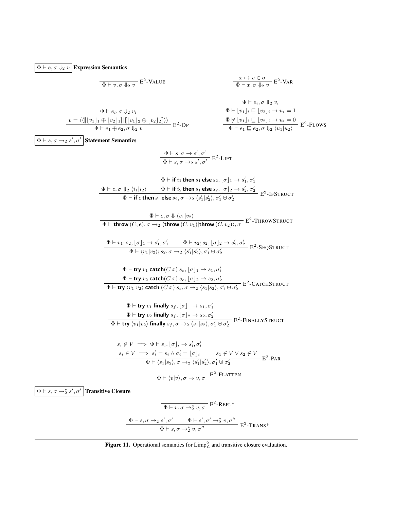$\boxed{\Phi \vdash e, \sigma \Downarrow_2 v}$  Expression Semantics

$$
\frac{x \mapsto v \in \sigma}{\Phi \vdash v, \sigma \Downarrow_2 v} \mathbf{E}^2\text{-Value} \qquad \qquad \frac{x \mapsto v \in \sigma}{\Phi \vdash x, \sigma \Downarrow_2 v} \mathbf{E}^2\text{-VAR}
$$

$$
\Phi \vdash e_i, \sigma \Downarrow_2 v_i
$$
\n
$$
\Phi \vdash e_i, \sigma \Downarrow_2 v_i
$$
\n
$$
\Phi \vdash [v_1]_i \sqsubseteq [v_2]_i \rightarrow u_i = 1
$$
\n
$$
\Phi \vdash [v_1]_i \sqsubseteq [v_2]_i \rightarrow u_i = 1
$$
\n
$$
\Phi \vdash [v_1]_i \sqsubseteq [v_2]_i \rightarrow u_i = 0
$$
\n
$$
\Phi \vdash e_1 \oplus e_2, \sigma \Downarrow_2 v
$$
\n
$$
\Phi \vdash e_1 \sqsubseteq e_2, \sigma \Downarrow_2 \langle u_1 | u_2 \rangle
$$
\n
$$
\Phi \vdash e_1 \sqsubseteq e_2, \sigma \Downarrow_2 \langle u_1 | u_2 \rangle
$$

$$
\Phi \vdash e_1 \oplus e_2, \sigma \Downarrow_2 v \qquad \Phi \vdash e_1 \sqsubseteq e_2, \sigma \Downarrow_2 \langle u_1 | u_2 \rangle
$$
\n
$$
\Phi \vdash e_3 \oplus \neg \frac{1}{2} v \qquad \Phi \vdash e_4 \oplus e_3 \wedge \frac{1}{2} v
$$
\n
$$
\Phi \vdash \text{if } i_1 \text{ then } s_1 \text{ else } s_2, [\sigma]_1 \rightarrow s'_1, \sigma'_1
$$
\n
$$
\Phi \vdash e, \sigma \Downarrow_2 \langle i_1 | i_2 \rangle \qquad \Phi \vdash \text{if } i_2 \text{ then } s_1 \text{ else } s_2, [\sigma]_2 \rightarrow s'_2, \sigma'_2
$$
\n
$$
\Phi \vdash \text{if } e \text{ then } s_1 \text{ else } s_2, \sigma \rightarrow_2 \langle s'_1 | s'_2 \rangle, \sigma'_1 \oplus \sigma'_2
$$
\n
$$
\Phi \vdash \text{then } s_1 \text{ else } s_2, \sigma \rightarrow_2 \langle s'_1 | s'_2 \rangle, \sigma'_1 \oplus \sigma'_2
$$
\n
$$
\Phi \vdash \text{then } s_1 \text{ else } s_2, \sigma \rightarrow_2 \langle s'_1 | s'_2 \rangle, \sigma'_1 \oplus \sigma'_2
$$
\n
$$
\Phi \vdash \text{then } \forall v_1 | v_2 \rangle
$$
\n
$$
\Phi \vdash \text{then } s_1 \text{ else } s_2, \sigma \rightarrow_2 \langle s'_1 | s'_2 \rangle, \sigma'_1 \oplus \sigma'_2
$$
\n
$$
\Phi \vdash \text{then } \forall v_1 | v_2 \rangle
$$
\n
$$
\Phi \vdash v_1 | v_2 \rangle
$$
\n
$$
\Phi \vdash \text{then } \forall v_1 | v_2 \rangle, s_2, \sigma \rightarrow_2 \langle s'_1 | s'_2 \rangle, \sigma'_1 \oplus \sigma'_2
$$
\n
$$
\Phi \vdash \text{then } v_1 | v_2 \rangle \text{ catch } (C, v) s_e, [\sigma]_1 \rightarrow s_1, \sigma'_1
$$
\n
$$
\Phi \vdash \text{try } v_2 \text{ catch } (C, v) s_e, [\sigma]_2 \rightarrow s_2, \sigma'_2
$$
\n<math display="</math>

<span id="page-15-0"></span>
$$
\frac{\Phi \vdash s, \sigma \rightarrow_2 s', \sigma' \qquad \Phi \vdash s', \sigma' \rightarrow_2^* v, \sigma''}{\Phi \vdash s, \sigma \rightarrow_2^* v, \sigma''} \; \mathbf{E}^2\text{-Transr*}
$$

**Figure 11.** Operational semantics for  $\text{Limp}_\mathcal{L}^2$  and transitive closure evaluation.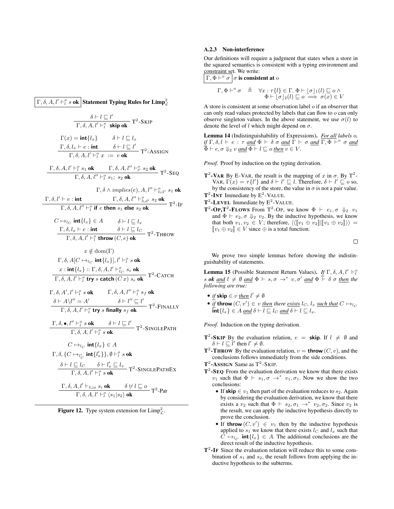Γ, δ, Α, ι′  $\vdash^o_l s$  ok  $\big|$  Statement Typing Rules for Limp $^2_{\mathcal{L}}$  $\delta \vdash l \sqsubseteq l'$  $\frac{\sigma}{\Gamma, \delta, A, l' \vdash_l^o \text{skip of}} \mathsf{T}^2\text{-}\mathsf{SKIP}$  $\Gamma(x) = \text{int}\{l_x\}$  $\Gamma, \delta, l_x \vdash e : \mathsf{int}$  $\delta \vdash l \sqsubseteq l_x$  $\delta \vdash l \sqsubseteq l'$  $\overline{\Gamma}$ ,  $\delta$ ,  $A$ ,  $l' \vdash_l^o x := e$ **ok**  $T^2$ -ASSIGN  $\frac{\Gamma, \delta, A, l' \vdash_l^o s_1 \text{ ok}}{\Gamma, \delta, A, l'' \vdash_l^o s_1; s_2 \text{ ok}}$  T<sup>2</sup>-SEQ  $\Gamma$ ,  $\delta$ ,  $l' \vdash e : \textbf{int}$   $\Gamma$ ,  $\delta$ ,  $A$ ,  $l'' \vdash_{l \sqcup l'}^o s_2 \textbf{ok}$  $\Gamma, \delta \wedge implies (e), A, l'' \vdash^o_{l \sqcup l'} s_1$  ok  $\frac{1}{\Gamma}$ ,  $\delta$ ,  $A$ ,  $l''$   $\vdash_l^o$  if e then  $s_1$  else  $s_2$  ok  $T^2$ -IF  $C \mapsto_{lc} \text{int}\{l_x\} \in A$  $\frac{\Gamma, \delta, l_x \vdash e : \textbf{int}}{\Gamma, \delta, A, l' \vdash_l^o \textbf{throw}(C, e) \textbf{ok}}$  T<sup>2</sup>-Throw  $\delta \vdash l \sqsubset l_x$  $x \notin \text{dom}(\Gamma)$  $\Gamma, \delta, A[C \mapsto_{l_C} \textbf{int}\lbrace l_x \rbrace], l' \vdash_l^o s \textbf{ ok}$  $x: \mathsf{int}\{l_x\} :: \Gamma, \delta, A, l' \vdash^o_{l_C} s_e$  ok  $\frac{1}{\Gamma, \delta, A, l' \vdash_l^o \text{ try } s \text{ catch } (C x) s_e \text{ ok}}$  T<sup>2</sup>-CATCH  $\Gamma$ ,  $\delta$ ,  $A'$ ,  $l' \vdash_l^o s$  ok  $\qquad \Gamma$ ,  $\delta$ ,  $A$ ,  $l'' \vdash_l^o s_f$  ok  $\delta \vdash A\setminus l'' = A'$   $\delta \vdash l'' \sqsubseteq l'$  $\frac{T_1 \sqrt{1 + T_1}}{\Gamma, \delta, A, l' \vdash_l^o \text{ try } s \text{ finally } s_f \text{ ok}}$  T<sup>2</sup>-FINALLY  $\Gamma, \delta, \bullet, l'' \vdash_l^o s \text{ ok} \qquad \delta \vdash l \sqsubseteq l'$  $\frac{1}{\Gamma, \delta, A, l' \vdash_l^o s \text{ ok}}$  T<sup>2</sup>-SINGLEPATH  $C \mapsto_{l_C} \text{int}\{l_x\} \in A$  $\Gamma, \delta, \{C \mapsto_{l_C'} \mathsf{int}\{l'_x\}\}, \emptyset \vdash_l^o s \mathsf{ok}$  $\frac{\delta \vdash l \sqsubseteq l_C \qquad \delta \vdash l'_x \sqsubseteq l_x}{\Gamma, \delta, A, l' \vdash^o_l s \mathbf{ok}}$  T<sup>2</sup>-SINGLEPATHEX  $\frac{\Gamma, \delta, A, l' \vdash_{l \sqcup o} s_i \mathbf{ok}}{\Gamma, \delta, A, l' \vdash_l^o \langle s_1 | s_2 \rangle \mathbf{ok}}$  T<sup>2</sup>-Par

<span id="page-16-0"></span>

### A.2.3 Non-interference

Our definitions will require a judgment that states when a store in the squared semantics is consistent with a typing environment and constraint set. We write:

$$
\Gamma, \Phi \vdash^o \sigma \mid \sigma \text{ is consistent at } o
$$

$$
\Gamma, \Phi \vdash^{\circ} \sigma \triangleq \forall x : \tau \{l\} \in \Gamma. \ \Phi \vdash [\sigma]_1(l) \sqsubseteq o \land \Phi \vdash [\sigma]_2(l) \sqsubseteq o \implies \sigma(x) \in V
$$

A store is consistent at some observation label o if an observer that can only read values protected by labels that can flow to o can only observe singleton values. In the above statement, we use  $\sigma(l)$  to denote the level of l which might depend on  $\sigma$ .

<span id="page-16-2"></span>Lemma 14 (Indistinguishability of Expressions). *For all labels* o*, if*  $\Gamma$ ,  $\delta$ ,  $l \vdash e : \tau$  *and*  $\Phi \vdash \delta \sigma$  *and*  $\Gamma \vdash \sigma$  *and*  $\overline{\Gamma, \Phi \vdash}^o \sigma$  *and*  $\overline{\Phi} \vdash e, \sigma \Downarrow_2 v \text{ and } \Phi \vdash l \sqsubseteq o \text{ then } v \in V.$ 

*Proof.* Proof by induction on the typing derivation.

- **T<sup>2</sup>-VAR By E-VAR, the result is the mapping of x in**  $\sigma$ **. By T<sup>2</sup>-**VAR,  $\Gamma(x) = \tau \{l'\}\$ and  $\delta \vdash l' \sqsubseteq l$ . Therefore,  $\delta \vdash l' \sqsubseteq o$  so, by the consistency of the store, the value in  $\sigma$  is not a pair value.  $T^2$ -INT Immediate by  $E^2$ -VALUE.
- $T^2$ -LEVEL Immediate by  $E^2$ -VALUE.
- **T<sup>2</sup>-OP,T<sup>2</sup>-FLOWS** From T<sup>2</sup>-OP, we know  $\Phi$   $\vdash e_1, \sigma \Downarrow_2 v_1$ and  $\Phi \vdash e_2, \sigma \Downarrow_2 v_2$ . By the inductive hypothesis, we know that both  $v_1, v_2 \in V$ ; therefore,  $\langle \langle [v_1 \oplus v_2] | [v_1 \oplus v_2] \rangle \rangle =$  $[v_1 \oplus v_2] \in V$  since  $\oplus$  is a total function.

 $\Box$ 

We prove two simple lemmas before showing the indistinguishability of statements.

<span id="page-16-1"></span>**Lemma 15** (Possible Statement Return Values). *If*  $\Gamma$ ,  $\delta$ ,  $A$ ,  $l' \vdash_l^o$ s *ok* and  $l \neq \emptyset$  and  $\Phi \vdash s, \sigma \rightarrow^* v, \sigma'$  and  $\Phi \vdash \delta \sigma$  then the *following are true:*

- *if* skip  $\in v$  <u>then</u>  $l' \neq \emptyset$
- *if* throw  $(C, v') \in v$  <u>then</u> there <u>exists</u>  $l_C$ ,  $l_x$  <u>such that</u>  $C \mapsto_{l_C}$  $\overline{\text{int}}\{l_{x}\}\in A$  and  $\delta\vdash l\sqsubset l_{C}$  and  $\delta\vdash l\sqsubset l_{x}$ .

*Proof.* Induction on the typing derivation.

- **T**<sup>2</sup>-SKIP By the evaluation relation,  $v =$  skip. If  $l \neq \emptyset$  and  $\delta \vdash l \sqsubseteq l'$  then  $l' \neq \emptyset$ .
- **T<sup>2</sup>-THROW** By the evaluation relation,  $v =$  **throw**  $(C, v)$ , and the conclusions follows immediately from the side conditions.
- $T^2$ -ASSIGN Same as  $T^2$ -SKIP.
- $T^2$ -SEQ From the evaluation derivation we know that there exists  $v_1$  such that  $\Phi \vdash s_1, \sigma \rightarrow^* v_1, \sigma_1$ . Now we show the two conclusions:
	- If skip  $\in v_1$  then part of the evaluation reduces to  $s_2$ . Again by considering the evaluation derivation, we know that there exists a  $v_2$  such that  $\Phi \vdash s_2, \sigma_1 \rightarrow^* v_2, \sigma_2$ . Since  $v_2$  is the result, we can apply the inductive hypothesis directly to prove the conclusion.
	- If throw  $(C, v') \in v_1$  then by the inductive hypothesis applied to  $s_1$  we know that there exists  $l_C$  and  $l_x$  such that  $C \mapsto_{l_C} \text{int}\{l_x\} \in A$ . The additional conclusions are the direct result of the inductive hypothesis.
- $T^2$ -IF Since the evaluation relation will reduce this to some combination of  $s_1$  and  $s_2$ , the result follows from applying the inductive hypothesis to the subterms.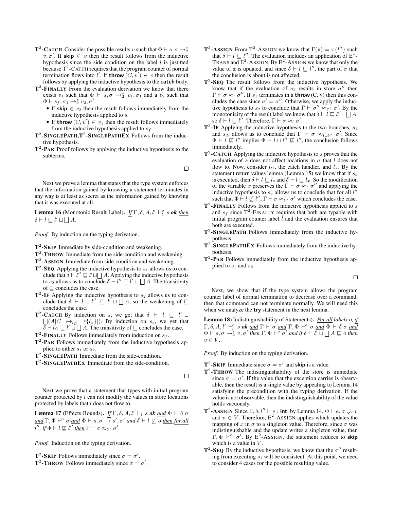- **T<sup>2</sup>-CATCH** Consider the possible results v such that  $\Phi \vdash s, \sigma \rightarrow_2^*$  $v, \sigma'$ . If skip  $\in v$  then the result follows from the inductive hypothesis since the side condition on the label  $l$  is justified because  $T^2$ -CATCH requires that the program counter of normal termination flows into  $l'$ . If **throw**  $(C, v') \in v$  then the result follows by applying the inductive hypothesis to the catch body.
- $T^2$ -FINALLY From the evaluation derivation we know that there exists  $v_1$  such that  $\Phi \vdash s, \sigma \rightarrow_2^* v_1, \sigma_1$  and a  $v_2$  such that  $\Phi \vdash s_f, \sigma_1 \rightarrow_2^* v_2, \sigma'.$ 
	- If skip  $\in v_2$  then the result follows immediately from the inductive hypothesis applied to s.
	- If throw  $(C, v') \in v_1$  then the result follows immediately from the inductive hypothesis applied to  $s_f$ .
- $T^2$ -SINGLEPATH,  $T^2$ -SINGLEPATHEX Follows from the inductive hypothesis.
- $T^2$ -PAR Proof follows by applying the inductive hypothesis to the subterms.

 $\Box$ 

Next we prove a lemma that states that the type system enforces that the information gained by knowing a statement terminates in any way is at least as secret as the information gained by knowing that it was executed at all.

<span id="page-17-1"></span>**Lemma 16** (Monotonic Result Label). *If*  $\Gamma$ ,  $\delta$ ,  $A$ ,  $l' \vdash_l^o s$  *ok then*  $\delta \vdash l \sqsubseteq l' \sqcup \bigsqcup A$ .

*Proof.* By induction on the typing derivation.

 $T^2$ -SKIP Immediate by side-condition and weakening.

- T<sup>2</sup>-THROW Immediate from the side-condition and weakening.
- T<sup>2</sup>-ASSIGN Immediate from side-condition and weakening.
- $T^2$ -SEQ Applying the inductive hypothesis to  $s_1$  allows us to conclude that  $\delta \vdash \bar{l}'' \sqsubseteq l' \sqcup \sqcup A$ . Applying the inductive hypothesis to  $s_2$  allows us to conclude  $\delta \vdash \tilde{l}'' \sqsubseteq \tilde{l}' \sqcup \bigsqcup A$ . The transitivity of  $\sqsubseteq$  concludes the case.
- $T^2$ -IF Applying the inductive hypothesis to  $s_2$  allows us to conclude that  $\delta \vdash l \sqcup l'' \sqsubseteq l' \sqcup \sqcup A$ , so the weakening of  $\sqsubseteq$ concludes the case.
- **T<sup>2</sup>-CATCH** By induction on s, we get that  $\delta$   $\vdash$   $l \sqsubseteq l' \sqcup$  $\lfloor |A|C \mapsto_{l_C} \tau(l_x)|$ . By induction on  $s_e$ , we get that  $\overline{\delta} \vdash l_C \sqsubseteq l' \sqcup \sqcup A$ . The transitivity of  $\sqsubseteq$  concludes the case.
- $T^2$ -FINALLY Follows immediately from induction on  $s_f$ .
- $T^2$ -PAR Follows immediately from the inductive hypothesis applied to either  $s_1$  or  $s_2$ .
- T<sup>2</sup>-SINGLEPATH Immediate from the side-condition.
- T<sup>2</sup>-SINGLEPATHEX Immediate from the side-condition.

 $\Box$ 

Next we prove that a statement that types with initial program counter protected by l can not modify the values in store locations protected by labels that l does not flow to.

<span id="page-17-0"></span>**Lemma 17** (Effects Bounds). *If*  $\Gamma$ ,  $\delta$ ,  $A$ ,  $l' \vdash_l s$  *ok* <u>and</u>  $\Phi \vdash \delta \sigma$  $\underline{and} \Gamma, \Phi \vdash^o \sigma \underline{and} \Phi \vdash s, \sigma \rightarrow s', \sigma' \underline{and} \delta \vdash l \not\sqsubseteq o \underline{then} \underline{for} \underline{all}$  $l''$ , if  $\Phi \vdash l \not\sqsubseteq l''$  <u>then</u>  $\Gamma \vdash \sigma \approx_{l''} \sigma'.$ 

*Proof.* Induction on the typing derivation.

**T<sup>2</sup>-SKIP** Follows immediately since  $\sigma = \sigma'$ .

**T<sup>2</sup>-THROW** Follows immediately since  $\sigma = \sigma'$ .

- **T<sup>2</sup>-ASSIGN** From T<sup>2</sup>-ASSIGN we know that  $\Gamma(x) = \tau \{l''\}$  such that  $\delta \vdash l \sqsubseteq l''$ . The evaluation includes an application of E<sup>\*</sup>-TRANS and  $E^2$ -ASSIGN. By  $E^2$ -ASSIGN we know that only the value of x is updated, and since  $\delta \vdash l \sqsubseteq l''$ , the part of  $\sigma$  that the conclusion is about is not affected.
- $T^2$ -SEQ The result follows from the inductive hypothesis. We know that if the evaluation of  $s_1$  results in store  $\sigma''$  then  $\Gamma \vdash \sigma \approx_l \sigma''$ . If  $s_1$  terminates in a **throw** (C, v) then this concludes the case since  $\sigma' = \sigma''$ . Otherwise, we apply the inductive hypothesis to  $s_2$  to conclude that  $\Gamma \vdash \sigma'' \approx_{l''} \sigma'$ . By the monotonicity of the result label we know that  $\delta \vdash l \sqsubseteq l'' \sqcup \bigsqcup A$ , so  $\delta \vdash l \sqsubseteq l''$ . Therefore,  $\Gamma \vdash \sigma \approx_l \sigma'$ .
- $T^2$ -IF Applying the inductive hypothesis to the two branches,  $s_1$ and  $s_2$ , allows us to conclude that  $\Gamma \vdash \sigma \approx_{l \sqcup l''} \sigma'$ . Since  $\Phi \vdash l \not\sqsubseteq l''$  implies  $\Phi \vdash l \sqcup l'' \not\sqsubseteq l''$ , the conclusion follows immediately.
- $T^2$ -CATCH Applying the inductive hypothesis to s proves that the evaluation of s does not affect locations in  $\sigma$  that l does not flow to. Now, consider  $l_C$ , the catch handler, and  $l_x$ . By the statement return values lemma (Lemma [15\)](#page-16-1) we know that if  $s_e$ is executed, then  $\delta \vdash l \sqsubseteq l_c$  and  $\delta \vdash l \sqsubseteq l_x$ . So the modification of the variable x preserves the  $\Gamma \vdash \sigma \approx_l \sigma''$  and applying the inductive hypothesis to  $s_e$  allows us to conclude that for all  $l''$ such that  $\Phi \vdash l \not\sqsubseteq l''$ ,  $\Gamma \vdash \sigma \approx_{l''} \sigma'$  which concludes the case.
- $T^2$ -FINALLY Follows from the inductive hypothesis applied to s and  $s_f$  since T<sup>2</sup>-FINALLY requires that both are typable with initial program counter label  $l$  and the evaluation ensures that both are executed.
- T<sup>2</sup>-SINGLEPATH Follows immediately from the inductive hypothesis.
- T<sup>2</sup>-SINGLEPATHEX Follows immediately from the inductive hypothesis.
- $T^2$ -PAR Follows immediately from the inductive hypothesis applied to  $s_1$  and  $s_2$ .

 $\Box$ 

Next, we show that if the type system allows the program counter label of normal termination to decrease over a command, then that command can not terminate normally. We will need this when we analyze the try statement in the next lemma.

<span id="page-17-2"></span>Lemma 18 (Indistinguishability of Statements). *For all labels* o*, if*  $\Gamma$ ,  $\delta$ ,  $A$ ,  $l' \vdash_l^o s$  *ok* <u>and</u>  $\Gamma \vdash \sigma$  <u>and</u>  $\Gamma$ ,  $\Phi \vdash^o \sigma$  <u>and</u>  $\Phi \vdash \delta \sigma$  <u>and</u>  $\Phi \vdash s, \sigma \rightarrow_2^* v, \sigma'$  <u>then</u>  $\Gamma, \Phi \vdash^{\overline{o}} \sigma'$  and if  $\delta \vdash l' \sqcup \Box A \sqsubseteq o$  then  $v \in V.$ 

*Proof.* By induction on the typing derivation.

- **T**<sup>2</sup>-SKIP Immediate since  $\sigma = \sigma'$  and **skip** is a value.
- $T^2$ -THROW The indistinguishability of the store is immediate since  $\sigma = \sigma'$ . If the value that the exception carries is observable, then the result is a single value by appealing to Lemma [14](#page-16-2) satisfying the precondition with the typing derivation. If the value is not observable, then the indistinguishability of the value holds vacuously.
- **T<sup>2</sup>-ASSIGN** Since  $\Gamma$ ,  $\delta$ ,  $l'' \vdash e$  : **int**, by Lemma [14,](#page-16-2)  $\Phi \vdash e$ ,  $\sigma \Downarrow_2 v$ and  $v \in V$ . Therefore,  $E^2$ -AssiGN applies which updates the mapping of x in  $\sigma$  to a singleton value. Therefore, since  $\sigma$  was indistinguishable and the update writes a singleton value, then  $\Gamma, \Phi \vdash^{\circ} \sigma'$ . By E<sup>2</sup>-AssiGN, the statement reduces to **skip** which is a value in  $V$ .
- T<sup>2</sup>-SEQ By the inductive hypothesis, we know that the  $\sigma''$  resulting from executing  $s_1$  will be consistent. At this point, we need to consider 4 cases for the possible resulting value.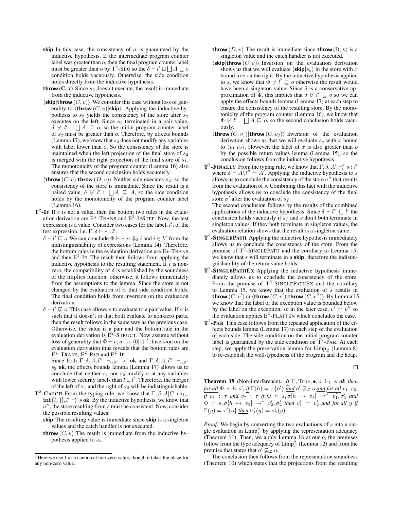- skip In this case, the consistency of  $\sigma$  is guaranteed by the inductive hypothesis. If the intermediate program counter label was greater than o, then the final program counter label must be greater than  $o$  by T<sup>2</sup>-SEQ so the  $\delta \vdash l' \sqcup \bigsqcup A \sqsubseteq o$ condition holds vacuously. Otherwise, the side condition holds directly from the inductive hypothesis.
- throw  $(C, v)$  Since  $s_2$  doesn't execute, the result is immediate from the inductive hypothesis.
- $\langle$ skip|throw  $(C, v)$ } We consider this case without loss of generality to  $\langle$ **throw**  $(C, v)|$ **skip** $\rangle$ . Applying the inductive hypothesis to  $s_2$  yields the consistency of the store after  $s_2$ executes on the left. Since  $s_1$  terminated in a pair value,  $\delta \not\vdash l' \sqcup \bigsqcup A \sqsubseteq o$ , so the initial program counter label of  $s_2$  must be greater than  $o$ . Therefore, by effects bounds (Lemma [17\)](#page-17-0), we know that  $s_2$  does not modify any variables with label lower than  $o$ . So the consistency of the store is maintained when the left projection of the final store of  $s<sub>2</sub>$ is merged with the right projection of the final store of  $s_1$ . The monotonicity of the program counter (Lemma [16\)](#page-17-1) also ensures that the second conclusion holds vacuously.
- $\langle$ throw  $(C, v)|$ throw  $(D, v)\rangle$  Neither side executes  $s_2$ , so the consistency of the store is immediate. Since the result is a paired value,  $\delta \not\vdash l' \sqcup \bigsqcup A \sqsubseteq A$ , so the side condition holds by the monotonicity of the program counter label (Lemma [16\)](#page-17-1).
- $T^2$ -IF If *e* is not a value, then the bottom two rules in the evaluation derivation are  $E^*$ -TRANS and  $E^2$ -IFSTEP. Now, the test expression is a value. Consider two cases for the label,  $l'$ , of the test expression, i.e.  $\Gamma, \delta \vdash e : l'$ .
	- $\delta \vdash l' \sqsubseteq o$  We can conclude  $\Phi \vdash e, \sigma \Downarrow_2 i$  and  $i \in V$  from the indistinguishability of expressions (Lemma [14\)](#page-16-2). Therefore, the bottom rules in the evaluation derivation are E∗-TRANS and then  $E^2$ -IF. The result then follows from applying the inductive hypothesis to the resulting statement. If  $i$  is nonzero, the compatibility of  $\delta$  is established by the soundness of the implies function, otherwise, it follows immediately from the assumptions to the lemma. Since the store is not changed by the evaluation of e, that side condition holds. The final condition holds from inversion on the evaluation derivation.
	- $\delta$   $\vdash$  l'  $\not\sqsubseteq$  o This case allows e to evaluate to a pair value. If  $\sigma$  is such that it doesn't or that both evaluate to non-zero parts, then the result follows in the same way as the previous case. Otherwise, the value is a pair and the bottom rule in the evaluation derivation is  $E^2$ -STRUCT. Now assume without loss of generality that  $\Phi \vdash e, \sigma \Downarrow_2 \langle 0|1\rangle^2$  $\Phi \vdash e, \sigma \Downarrow_2 \langle 0|1\rangle^2$  $\Phi \vdash e, \sigma \Downarrow_2 \langle 0|1\rangle^2$ . Inversion on the evaluation derivation thus reveals that the bottom rules are  $E^*$ -TRANS,  $E^2$ -PAR and  $E^2$ -IF.

Since both  $\Gamma$ ,  $\delta$ ,  $A$ ,  $l'' \vdash_{l \sqcup l'} s_1$  ok and  $\Gamma$ ,  $\delta$ ,  $A$ ,  $l'' \vdash_{l \sqcup l'} s_l$  $s_2$  ok, the effects bounds lemma (Lemma [17\)](#page-17-0) allows us to conclude that neither  $s_1$  nor  $s_2$  modify  $\sigma$  at any variables with lower security labels than  $l \sqcup l'$ . Therefore, the merger of the left of  $\sigma_1$  and the right of  $\sigma_2$  will be indistinguishable.

- **T<sup>2</sup>-CATCH** From the typing rule, we know that  $\Gamma$ ,  $\delta$ ,  $A[C \mapsto_{l} C]$  $\text{int}\{l_x\}$ ,  $l' \vdash_l^o s$  ok. By the inductive hypothesis, we know that  $\sigma''$ , the store resulting from s must be consistent. Now, consider the possible resulting values:
	- skip The resulting value is immediate since skip is a singleton values and the catch handler is not executed.
	- **throw**  $(C, v)$  The result is immediate from the inductive hypothesis applied to  $s_e$ .
- **throw**  $(D, v)$  The result is immediate since **throw**  $(D, v)$  is a singleton value and the catch handler is not executed.
- $\langle$ skip|throw  $(C, v)$ } Inversion on the evaluation derivation shows us that we will evaluate  $\langle \sin s \rangle$  in the store with x bound to  $v$  on the right. By the inductive hypothesis applied to s, we know that  $\Phi \not\vdash l' \sqsubseteq o$  otherwise the result would have been a singleton value. Since  $\delta$  is a conservative approximation of  $\Phi$ , this implies that  $\delta \not\vdash l' \sqsubseteq o$  so we can apply the effects bounds lemma (Lemma [17\)](#page-17-0) at each step to ensure the consistency of the resulting store. By the monotonicity of the program counter (Lemma [16\)](#page-17-1), we know that  $\Phi \not\vdash l' \sqcup \bigsqcup A \subseteq o$ , so the second conclusion holds vacuously.
- $\langle$ throw  $(C, v_1)|$ throw  $(C, v_2)\rangle$  Inversion of the evaluation derivation shows us that we will evaluate  $s_e$  with x bound to  $\langle v_1|v_2\rangle$ . However, the label of x is also greater than o by the possible return values lemma (Lemma [15\)](#page-16-1), so the conclusion follows from the inductive hypothesis.
- **T<sup>2</sup>-FINALLY** From the typing rule, we know that  $\Gamma$ ,  $\delta$ ,  $A' \vdash_l^o s : l'$ where  $\delta \vdash A \setminus l'' = A'$ . Applying the inductive hypothesis to s allows us to conclude the consistency of the store  $\sigma^{\gamma}$  that results from the evaluation of s. Combining this fact with the inductive hypothesis allows us to conclude the consistency of the final store  $\sigma'$  after the evaluation of  $s_f$ .

The second conclusion follows by the results of the combined applications of the inductive hypothesis. Since  $\delta \vdash l'' \sqsubseteq l'$  the conclusion holds vacuously if  $s_f$  and s don't both terminate in singleton values. If they both terminate in singleton values, the evaluation relation shows that the result is a singleton value.

- $T^2$ -SINGLEPATH Applying the inductive hypothesis immediately allows us to conclude the consistency of the store. From the premise of  $T^2$ -SINGLEPATH and the corollary to Lemma [15,](#page-16-1) we know that  $s$  will terminate in a **skip**, therefore the indistinguishability of the return value holds.
- T<sup>2</sup>-SINGLEPATHEX Applying the inductive hypothesis immediately allows us to conclude the consistency of the store. From the premise of  $T^2$ -SINGLEPATHEX and the corollary to Lemma [15,](#page-16-1) we know that the evaluation of  $s$  results in **throw**  $(C, v')$  or  $\langle$ **throw**  $(C, v')|$ **throw**  $(C, v'')\rangle$ . By Lemma [15,](#page-16-1) we know that the label of the exception value is bounded below by the label on the exception, so in the later case,  $v' = v''$  so the evaluation applies  $E^2$ -FLATTEN which concludes the case.
- $T^2$ -PAR This case follows from the repeated application of the effects bounds lemma (Lemma [17\)](#page-17-0) to each step of the evaluation of each side. The side condition on the initial program counter label is guaranteed by the side condition on  $T^2$ -PAR. At each step, we apply the preservation lemma for  $\lim_{\text{P}}$  (Lemma [8\)](#page-13-0) to re-establish the well-typedness of the program and the heap.

$$
\qquad \qquad \Box
$$

**Theorem 19** (Non-interference). *If*  $\Gamma$ , True,  $\bullet$ ,  $o \vdash_l s$  *ok then for all*  $\Phi$ ,  $\sigma$ ,  $h$ ,  $o'$ , if  $\Gamma(h) = \tau \{o'\}$  and  $o' \not\sqsubseteq_{\mathcal{L}} o$  and for all  $v_1, v_2$ .  $\overline{if \ v_1}$  :  $\tau$  <u>and</u>  $v_2$  :  $\tau$  *if*  $\Phi$   $\vdash$  *s*,  $\sigma[h \mapsto v_1]$   $\rightarrow^*$   $\overline{v'_1}, \sigma'_1$  and  $\overline{\Phi}$   $\vdash$   $s, \sigma[h \mapsto v_2]$   $\rightarrow^*$   $v_2', \sigma_2'$  <u>then</u>  $v_1' = v_2'$  <u>and</u> for all y if  $\Gamma(y) = \tau' \{o\}$  <u>then</u>  $\sigma'_1(y) = \sigma'_2(y)$ .

*Proof.* We begin by converting the two evaluations of s into a single evaluation in  $\lim_{\mathcal{L}} p_{\mathcal{L}}^2$  by applying the representation adequacy (Theorem [11\)](#page-14-2). Then, we apply Lemma [18](#page-17-2) at our  $o$ , the premises follow from the type adequacy of  $\text{Limp}_\mathcal{L}^2$  (Lemma [12\)](#page-14-3) and from the premise that states that  $o' \not\sqsubseteq_{\mathcal{L}} o$ .

The conclusion then follows from the representation soundness (Theorem [10\)](#page-14-1) which states that the projections from the resulting

<span id="page-18-0"></span><sup>2</sup> Here we use 1 as a canonical non-zero value, though it takes the place for any non-zero value.